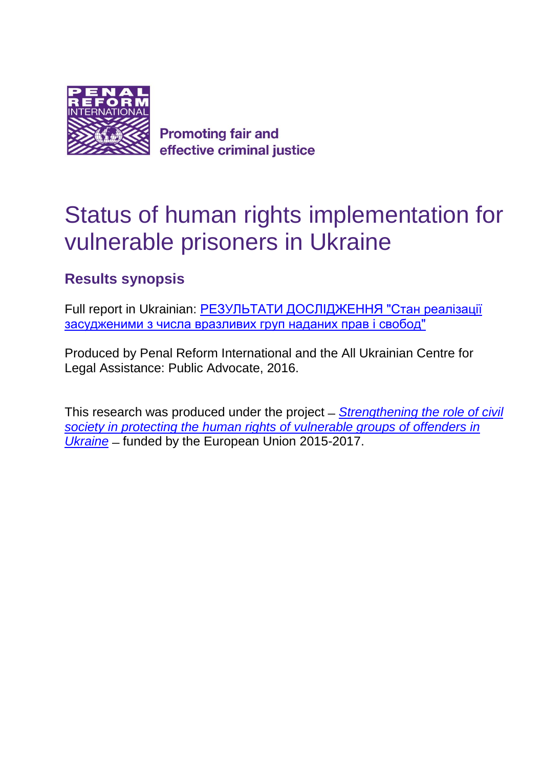

**Promoting fair and** effective criminal justice

# Status of human rights implementation for vulnerable prisoners in Ukraine

# **Results synopsis**

Full report in Ukrainian: [РЕЗУЛЬТАТИ ДОСЛІДЖЕННЯ "Стан реалізації](http://www.public-advocate.org/en/arkhiv-proektiv/materiali-proektu/187-rezultati-doslidzhennya-stan-realizatsiji-zasudzhenimi-z-chisla-vrazlivikh-grup-nadanikh-prav-i-svobod.html)  [засудженими з числа вразливих груп наданих прав і свобод"](http://www.public-advocate.org/en/arkhiv-proektiv/materiali-proektu/187-rezultati-doslidzhennya-stan-realizatsiji-zasudzhenimi-z-chisla-vrazlivikh-grup-nadanikh-prav-i-svobod.html)

Produced by Penal Reform International and the All Ukrainian Centre for Legal Assistance: Public Advocate, 2016.

This research was produced under the project ̶*[Strengthening the role of civil](http://www.penalreform.org/where-we-work/russia-ukraine-and-belarus/programmes/)  society in protecting the [human rights of vulnerable groups of offenders in](http://www.penalreform.org/where-we-work/russia-ukraine-and-belarus/programmes/) [Ukraine](http://www.penalreform.org/where-we-work/russia-ukraine-and-belarus/programmes/)* ̶funded by the European Union 2015-2017.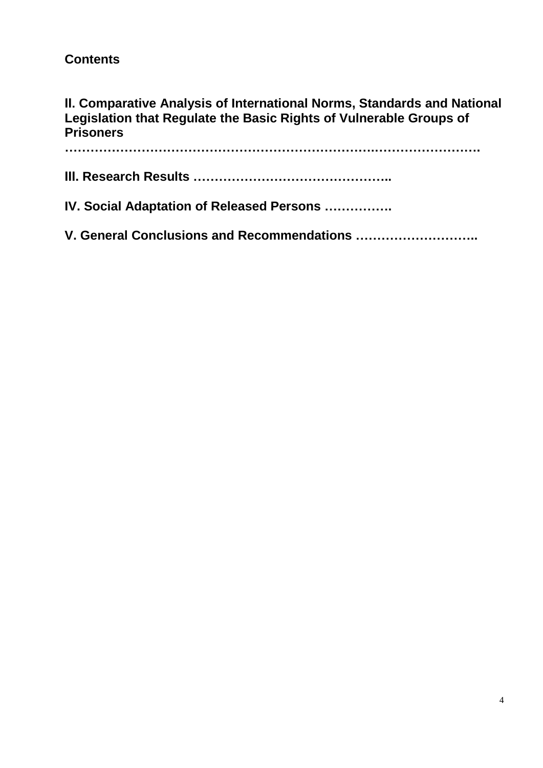## **Contents**

## **ІІ. Comparative Analysis of International Norms, Standards and National Legislation that Regulate the Basic Rights of Vulnerable Groups of Prisoners**

**……………………………………………………………….……………………. ІІІ. Research Results ……………………………………….. IV. Social Adaptation of Released Persons ……………. V. General Conclusions and Recommendations ………………………..**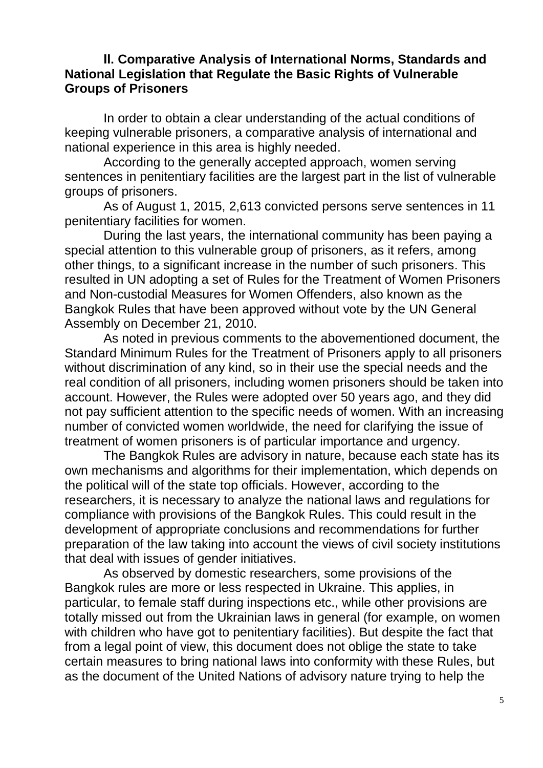#### **ІІ. Comparative Analysis of International Norms, Standards and National Legislation that Regulate the Basic Rights of Vulnerable Groups of Prisoners**

In order to obtain a clear understanding of the actual conditions of keeping vulnerable prisoners, a comparative analysis of international and national experience in this area is highly needed.

According to the generally accepted approach, women serving sentences in penitentiary facilities are the largest part in the list of vulnerable groups of prisoners.

As of August 1, 2015, 2,613 convicted persons serve sentences in 11 penitentiary facilities for women.

During the last years, the international community has been paying a special attention to this vulnerable group of prisoners, as it refers, among other things, to a significant increase in the number of such prisoners. This resulted in UN adopting a set of Rules for the Treatment of Women Prisoners and Non-custodial Measures for Women Offenders, also known as the Bangkok Rules that have been approved without vote by the UN General Assembly on December 21, 2010.

As noted in previous comments to the abovementioned document, the Standard Minimum Rules for the Treatment of Prisoners apply to all prisoners without discrimination of any kind, so in their use the special needs and the real condition of all prisoners, including women prisoners should be taken into account. However, the Rules were adopted over 50 years ago, and they did not pay sufficient attention to the specific needs of women. With an increasing number of convicted women worldwide, the need for clarifying the issue of treatment of women prisoners is of particular importance and urgency.

The Bangkok Rules are advisory in nature, because each state has its own mechanisms and algorithms for their implementation, which depends on the political will of the state top officials. However, according to the researchers, it is necessary to analyze the national laws and regulations for compliance with provisions of the Bangkok Rules. This could result in the development of appropriate conclusions and recommendations for further preparation of the law taking into account the views of civil society institutions that deal with issues of gender initiatives.

As observed by domestic researchers, some provisions of the Bangkok rules are more or less respected in Ukraine. This applies, in particular, to female staff during inspections etc., while other provisions are totally missed out from the Ukrainian laws in general (for example, on women with children who have got to penitentiary facilities). But despite the fact that from a legal point of view, this document does not oblige the state to take certain measures to bring national laws into conformity with these Rules, but as the document of the United Nations of advisory nature trying to help the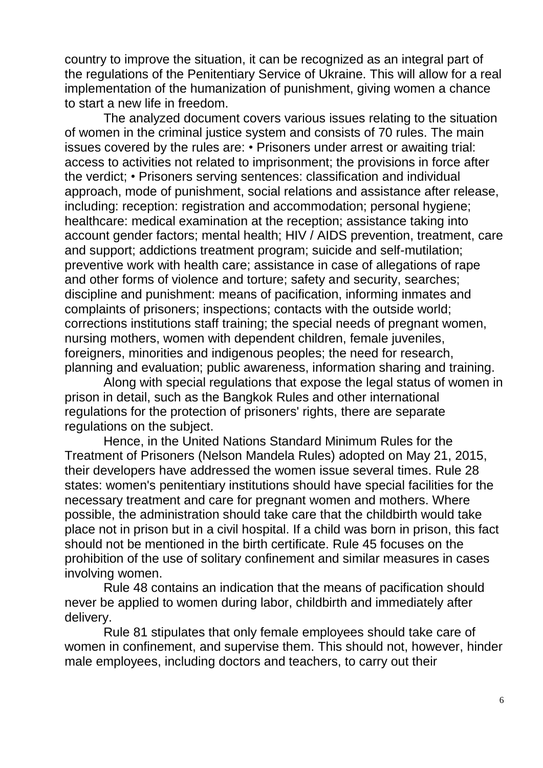country to improve the situation, it can be recognized as an integral part of the regulations of the Penitentiary Service of Ukraine. This will allow for a real implementation of the humanization of punishment, giving women a chance to start a new life in freedom.

The analyzed document covers various issues relating to the situation of women in the criminal justice system and consists of 70 rules. The main issues covered by the rules are: • Prisoners under arrest or awaiting trial: access to activities not related to imprisonment; the provisions in force after the verdict; • Prisoners serving sentences: classification and individual approach, mode of punishment, social relations and assistance after release, including: reception: registration and accommodation: personal hygiene: healthcare: medical examination at the reception; assistance taking into account gender factors; mental health; HIV / AIDS prevention, treatment, care and support; addictions treatment program; suicide and self-mutilation; preventive work with health care; assistance in case of allegations of rape and other forms of violence and torture; safety and security, searches; discipline and punishment: means of pacification, informing inmates and complaints of prisoners; inspections; contacts with the outside world; corrections institutions staff training; the special needs of pregnant women, nursing mothers, women with dependent children, female juveniles, foreigners, minorities and indigenous peoples; the need for research, planning and evaluation; public awareness, information sharing and training.

Along with special regulations that expose the legal status of women in prison in detail, such as the Bangkok Rules and other international regulations for the protection of prisoners' rights, there are separate regulations on the subject.

Hence, in the United Nations Standard Minimum Rules for the Treatment of Prisoners (Nelson Mandela Rules) adopted on May 21, 2015, their developers have addressed the women issue several times. Rule 28 states: women's penitentiary institutions should have special facilities for the necessary treatment and care for pregnant women and mothers. Where possible, the administration should take care that the childbirth would take place not in prison but in a civil hospital. If a child was born in prison, this fact should not be mentioned in the birth certificate. Rule 45 focuses on the prohibition of the use of solitary confinement and similar measures in cases involving women.

Rule 48 contains an indication that the means of pacification should never be applied to women during labor, childbirth and immediately after delivery.

Rule 81 stipulates that only female employees should take care of women in confinement, and supervise them. This should not, however, hinder male employees, including doctors and teachers, to carry out their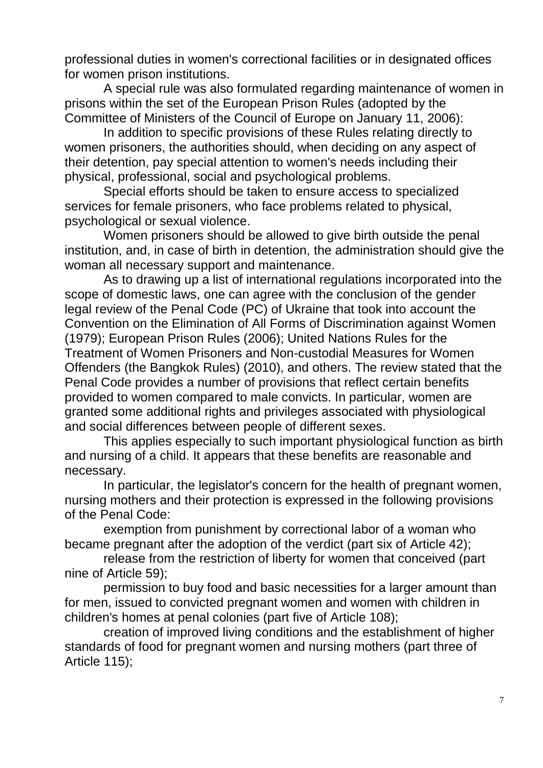professional duties in women's correctional facilities or in designated offices for women prison institutions.

A special rule was also formulated regarding maintenance of women in prisons within the set of the European Prison Rules (adopted by the Committee of Ministers of the Council of Europe on January 11, 2006):

In addition to specific provisions of these Rules relating directly to women prisoners, the authorities should, when deciding on any aspect of their detention, pay special attention to women's needs including their physical, professional, social and psychological problems.

Special efforts should be taken to ensure access to specialized services for female prisoners, who face problems related to physical, psychological or sexual violence.

Women prisoners should be allowed to give birth outside the penal institution, and, in case of birth in detention, the administration should give the woman all necessary support and maintenance.

As to drawing up a list of international regulations incorporated into the scope of domestic laws, one can agree with the conclusion of the gender legal review of the Penal Code (PC) of Ukraine that took into account the Convention on the Elimination of All Forms of Discrimination against Women (1979); European Prison Rules (2006); [United Nations Rules for the](http://www.penalreform.org/priorities/women-in-the-criminal-justice-system/international-standards/)  [Treatment of Women Prisoners and Non-custodial Measures for Women](http://www.penalreform.org/priorities/women-in-the-criminal-justice-system/international-standards/)  [Offenders \(](http://www.penalreform.org/priorities/women-in-the-criminal-justice-system/international-standards/)the Bangkok Rules) (2010), and others. The review stated that the Penal Code provides a number of provisions that reflect certain benefits provided to women compared to male convicts. In particular, women are granted some additional rights and privileges associated with physiological and social differences between people of different sexes.

This applies especially to such important physiological function as birth and nursing of a child. It appears that these benefits are reasonable and necessary.

In particular, the legislator's concern for the health of pregnant women, nursing mothers and their protection is expressed in the following provisions of the Penal Code:

exemption from punishment by correctional labor of a woman who became pregnant after the adoption of the verdict (part six of Article 42);

release from the restriction of liberty for women that conceived (part nine of Article 59);

permission to buy food and basic necessities for a larger amount than for men, issued to convicted pregnant women and women with children in children's homes at penal colonies (part five of Article 108);

creation of improved living conditions and the establishment of higher standards of food for pregnant women and nursing mothers (part three of Article 115);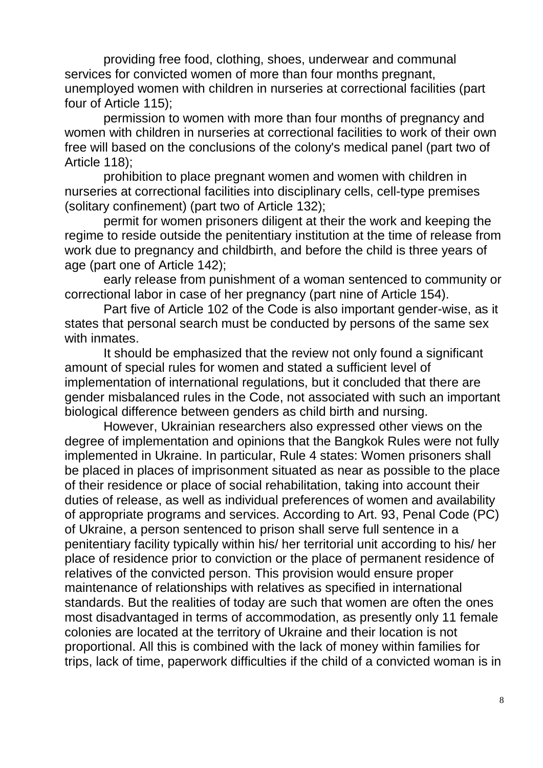providing free food, clothing, shoes, underwear and communal services for convicted women of more than four months pregnant, unemployed women with children in nurseries at correctional facilities (part four of Article 115);

permission to women with more than four months of pregnancy and women with children in nurseries at correctional facilities to work of their own free will based on the conclusions of the colony's medical panel (part two of Article 118);

prohibition to place pregnant women and women with children in nurseries at correctional facilities into disciplinary cells, cell-type premises (solitary confinement) (part two of Article 132);

permit for women prisoners diligent at their the work and keeping the regime to reside outside the penitentiary institution at the time of release from work due to pregnancy and childbirth, and before the child is three years of age (part one of Article 142);

early release from punishment of a woman sentenced to community or correctional labor in case of her pregnancy (part nine of Article 154).

Part five of Article 102 of the Code is also important gender-wise, as it states that personal search must be conducted by persons of the same sex with inmates.

It should be emphasized that the review not only found a significant amount of special rules for women and stated a sufficient level of implementation of international regulations, but it concluded that there are gender misbalanced rules in the Code, not associated with such an important biological difference between genders as child birth and nursing.

However, Ukrainian researchers also expressed other views on the degree of implementation and opinions that the Bangkok Rules were not fully implemented in Ukraine. In particular, Rule 4 states: Women prisoners shall be placed in places of imprisonment situated as near as possible to the place of their residence or place of social rehabilitation, taking into account their duties of release, as well as individual preferences of women and availability of appropriate programs and services. According to Art. 93, Penal Code (PC) of Ukraine, a person sentenced to prison shall serve full sentence in a penitentiary facility typically within his/ her territorial unit according to his/ her place of residence prior to conviction or the place of permanent residence of relatives of the convicted person. This provision would ensure proper maintenance of relationships with relatives as specified in international standards. But the realities of today are such that women are often the ones most disadvantaged in terms of accommodation, as presently only 11 female colonies are located at the territory of Ukraine and their location is not proportional. All this is combined with the lack of money within families for trips, lack of time, paperwork difficulties if the child of a convicted woman is in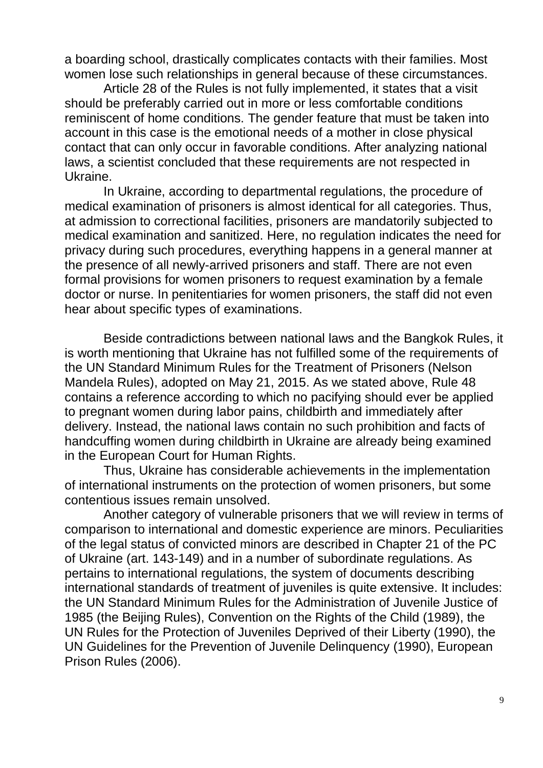a boarding school, drastically complicates contacts with their families. Most women lose such relationships in general because of these circumstances.

Article 28 of the Rules is not fully implemented, it states that a visit should be preferably carried out in more or less comfortable conditions reminiscent of home conditions. The gender feature that must be taken into account in this case is the emotional needs of a mother in close physical contact that can only occur in favorable conditions. After analyzing national laws, a scientist concluded that these requirements are not respected in Ukraine.

In Ukraine, according to departmental regulations, the procedure of medical examination of prisoners is almost identical for all categories. Thus, at admission to correctional facilities, prisoners are mandatorily subjected to medical examination and sanitized. Here, no regulation indicates the need for privacy during such procedures, everything happens in a general manner at the presence of all newly-arrived prisoners and staff. There are not even formal provisions for women prisoners to request examination by a female doctor or nurse. In penitentiaries for women prisoners, the staff did not even hear about specific types of examinations.

Beside contradictions between national laws and the Bangkok Rules, it is worth mentioning that Ukraine has not fulfilled some of the requirements of the UN Standard Minimum Rules for the Treatment of Prisoners (Nelson Mandela Rules), adopted on May 21, 2015. As we stated above, Rule 48 contains a reference according to which no pacifying should ever be applied to pregnant women during labor pains, childbirth and immediately after delivery. Instead, the national laws contain no such prohibition and facts of handcuffing women during childbirth in Ukraine are already being examined in the European Court for Human Rights.

Thus, Ukraine has considerable achievements in the implementation of international instruments on the protection of women prisoners, but some contentious issues remain unsolved.

Another category of vulnerable prisoners that we will review in terms of comparison to international and domestic experience are minors. Peculiarities of the legal status of convicted minors are described in Chapter 21 of the PC of Ukraine (art. 143-149) and in a number of subordinate regulations. As pertains to international regulations, the system of documents describing international standards of treatment of juveniles is quite extensive. It includes: the UN Standard Minimum Rules for the Administration of Juvenile Justice of 1985 (the Beijing Rules), Convention on the Rights of the Child (1989), the UN Rules for the Protection of Juveniles Deprived of their Liberty (1990), the UN Guidelines for the Prevention of Juvenile Delinquency (1990), European Prison Rules (2006).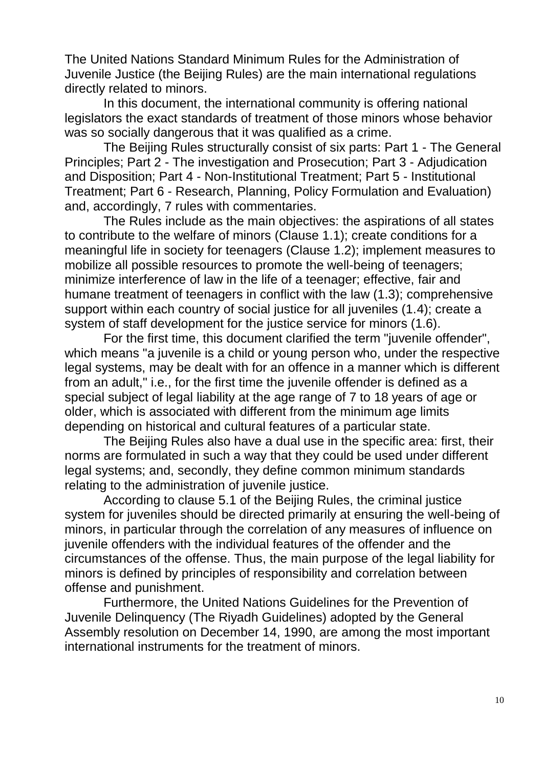The United Nations Standard Minimum Rules for the Administration of Juvenile Justice (the Beijing Rules) are the main international regulations directly related to minors.

In this document, the international community is offering national legislators the exact standards of treatment of those minors whose behavior was so socially dangerous that it was qualified as a crime.

The Beijing Rules structurally consist of six parts: Part 1 - The General Principles; Part 2 - The investigation and Prosecution; Part 3 - Adjudication and Disposition; Part 4 - Non-Institutional Treatment; Part 5 - Institutional Treatment; Part 6 - Research, Planning, Policy Formulation and Evaluation) and, accordingly, 7 rules with commentaries.

The Rules include as the main objectives: the aspirations of all states to contribute to the welfare of minors (Clause 1.1); create conditions for a meaningful life in society for teenagers (Clause 1.2); implement measures to mobilize all possible resources to promote the well-being of teenagers; minimize interference of law in the life of a teenager; effective, fair and humane treatment of teenagers in conflict with the law (1.3); comprehensive support within each country of social justice for all juveniles (1.4); create a system of staff development for the justice service for minors (1.6).

For the first time, this document clarified the term "juvenile offender", which means "a juvenile is a child or young person who, under the respective legal systems, may be dealt with for an offence in a manner which is different from an adult," i.e., for the first time the juvenile offender is defined as a special subject of legal liability at the age range of 7 to 18 years of age or older, which is associated with different from the minimum age limits depending on historical and cultural features of a particular state.

The Beijing Rules also have a dual use in the specific area: first, their norms are formulated in such a way that they could be used under different legal systems; and, secondly, they define common minimum standards relating to the administration of juvenile justice.

According to clause 5.1 of the Beijing Rules, the criminal justice system for juveniles should be directed primarily at ensuring the well-being of minors, in particular through the correlation of any measures of influence on juvenile offenders with the individual features of the offender and the circumstances of the offense. Thus, the main purpose of the legal liability for minors is defined by principles of responsibility and correlation between offense and punishment.

Furthermore, the United Nations Guidelines for the Prevention of Juvenile Delinquency (The Riyadh Guidelines) adopted by the General Assembly resolution on December 14, 1990, are among the most important international instruments for the treatment of minors.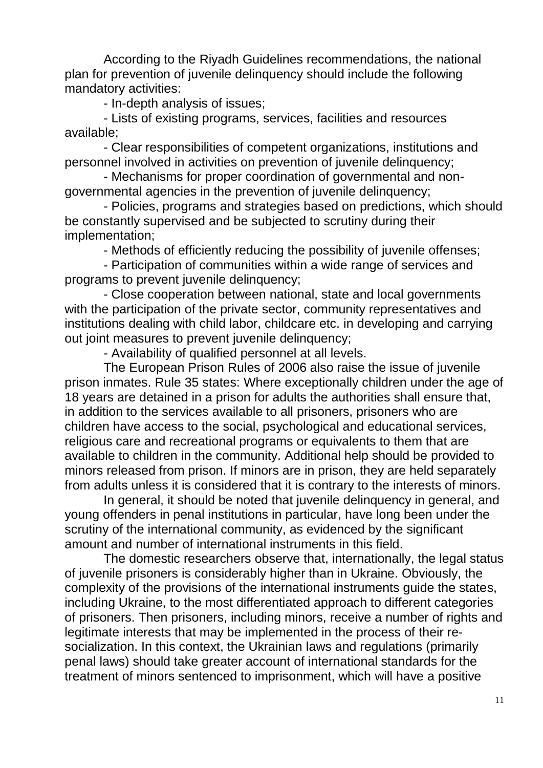According to the Riyadh Guidelines recommendations, the national plan for prevention of juvenile delinquency should include the following mandatory activities:

- In-depth analysis of issues;

- Lists of existing programs, services, facilities and resources available;

- Clear responsibilities of competent organizations, institutions and personnel involved in activities on prevention of juvenile delinquency;

- Mechanisms for proper coordination of governmental and nongovernmental agencies in the prevention of juvenile delinquency;

- Policies, programs and strategies based on predictions, which should be constantly supervised and be subjected to scrutiny during their implementation;

- Methods of efficiently reducing the possibility of juvenile offenses;

- Participation of communities within a wide range of services and programs to prevent juvenile delinquency;

- Close cooperation between national, state and local governments with the participation of the private sector, community representatives and institutions dealing with child labor, childcare etc. in developing and carrying out joint measures to prevent juvenile delinquency;

- Availability of qualified personnel at all levels.

The European Prison Rules of 2006 also raise the issue of juvenile prison inmates. Rule 35 states: Where exceptionally children under the age of 18 years are detained in a prison for adults the authorities shall ensure that, in addition to the services available to all prisoners, prisoners who are children have access to the social, psychological and educational services, religious care and recreational programs or equivalents to them that are available to children in the community. Additional help should be provided to minors released from prison. If minors are in prison, they are held separately from adults unless it is considered that it is contrary to the interests of minors.

In general, it should be noted that juvenile delinquency in general, and young offenders in penal institutions in particular, have long been under the scrutiny of the international community, as evidenced by the significant amount and number of international instruments in this field.

The domestic researchers observe that, internationally, the legal status of juvenile prisoners is considerably higher than in Ukraine. Obviously, the complexity of the provisions of the international instruments guide the states, including Ukraine, to the most differentiated approach to different categories of prisoners. Then prisoners, including minors, receive a number of rights and legitimate interests that may be implemented in the process of their resocialization. In this context, the Ukrainian laws and regulations (primarily penal laws) should take greater account of international standards for the treatment of minors sentenced to imprisonment, which will have a positive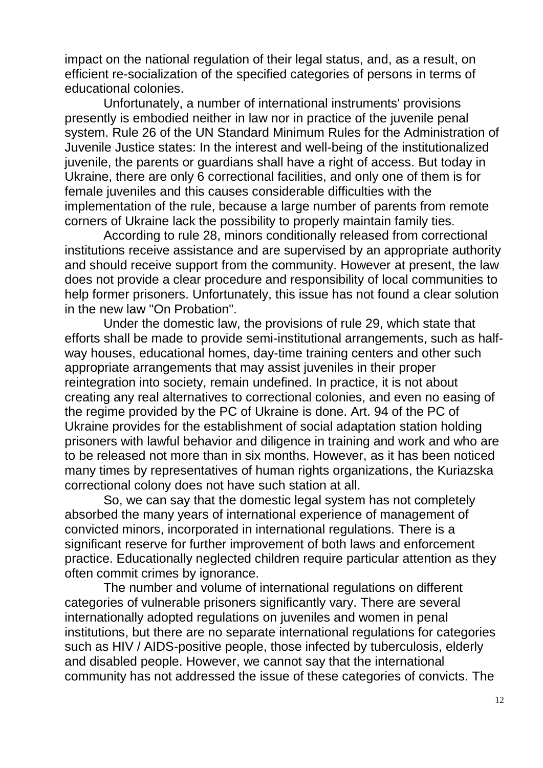impact on the national regulation of their legal status, and, as a result, on efficient re-socialization of the specified categories of persons in terms of educational colonies.

Unfortunately, a number of international instruments' provisions presently is embodied neither in law nor in practice of the juvenile penal system. Rule 26 of the UN Standard Minimum Rules for the Administration of Juvenile Justice states: In the interest and well-being of the institutionalized juvenile, the parents or guardians shall have a right of access. But today in Ukraine, there are only 6 correctional facilities, and only one of them is for female juveniles and this causes considerable difficulties with the implementation of the rule, because a large number of parents from remote corners of Ukraine lack the possibility to properly maintain family ties.

According to rule 28, minors conditionally released from correctional institutions receive assistance and are supervised by an appropriate authority and should receive support from the community. However at present, the law does not provide a clear procedure and responsibility of local communities to help former prisoners. Unfortunately, this issue has not found a clear solution in the new law "On Probation".

Under the domestic law, the provisions of rule 29, which state that efforts shall be made to provide semi-institutional arrangements, such as halfway houses, educational homes, day-time training centers and other such appropriate arrangements that may assist juveniles in their proper reintegration into society, remain undefined. In practice, it is not about creating any real alternatives to correctional colonies, and even no easing of the regime provided by the PC of Ukraine is done. Art. 94 of the PC of Ukraine provides for the establishment of social adaptation station holding prisoners with lawful behavior and diligence in training and work and who are to be released not more than in six months. However, as it has been noticed many times by representatives of human rights organizations, the Kuriazska correctional colony does not have such station at all.

So, we can say that the domestic legal system has not completely absorbed the many years of international experience of management of convicted minors, incorporated in international regulations. There is a significant reserve for further improvement of both laws and enforcement practice. Educationally neglected children require particular attention as they often commit crimes by ignorance.

The number and volume of international regulations on different categories of vulnerable prisoners significantly vary. There are several internationally adopted regulations on juveniles and women in penal institutions, but there are no separate international regulations for categories such as HIV / AIDS-positive people, those infected by tuberculosis, elderly and disabled people. However, we cannot say that the international community has not addressed the issue of these categories of convicts. The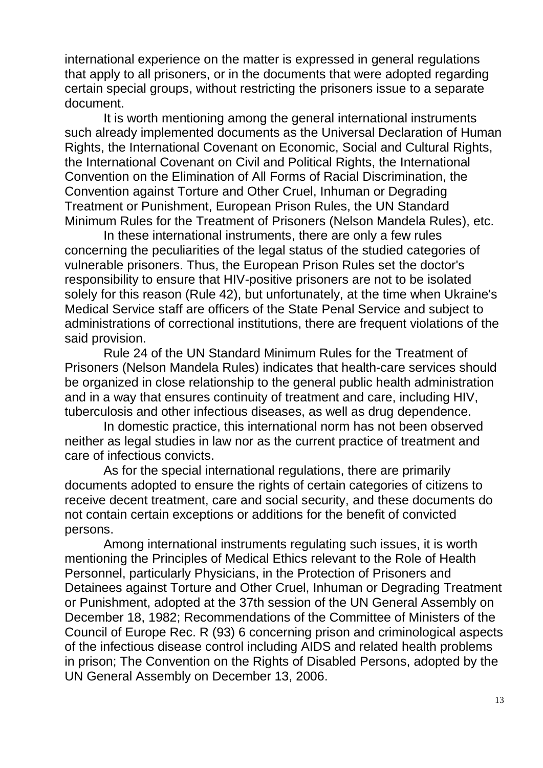international experience on the matter is expressed in general regulations that apply to all prisoners, or in the documents that were adopted regarding certain special groups, without restricting the prisoners issue to a separate document.

It is worth mentioning among the general international instruments such already implemented documents as the Universal Declaration of Human Rights, the International Covenant on Economic, Social and Cultural Rights, the International Covenant on Civil and Political Rights, the International Convention on the Elimination of All Forms of Racial Discrimination, the Convention against Torture and Other Cruel, Inhuman or Degrading Treatment or Punishment, European Prison Rules, the UN Standard Minimum Rules for the Treatment of Prisoners (Nelson Mandela Rules), etc.

In these international instruments, there are only a few rules concerning the peculiarities of the legal status of the studied categories of vulnerable prisoners. Thus, the European Prison Rules set the doctor's responsibility to ensure that HIV-positive prisoners are not to be isolated solely for this reason (Rule 42), but unfortunately, at the time when Ukraine's Medical Service staff are officers of the State Penal Service and subject to administrations of correctional institutions, there are frequent violations of the said provision.

Rule 24 of the UN Standard Minimum Rules for the Treatment of Prisoners (Nelson Mandela Rules) indicates that health-care services should be organized in close relationship to the general public health administration and in a way that ensures continuity of treatment and care, including HIV, tuberculosis and other infectious diseases, as well as drug dependence.

In domestic practice, this international norm has not been observed neither as legal studies in law nor as the current practice of treatment and care of infectious convicts.

As for the special international regulations, there are primarily documents adopted to ensure the rights of certain categories of citizens to receive decent treatment, care and social security, and these documents do not contain certain exceptions or additions for the benefit of convicted persons.

Among international instruments regulating such issues, it is worth mentioning the Principles of Medical Ethics relevant to the Role of Health Personnel, particularly Physicians, in the Protection of Prisoners and Detainees against Torture and Other Cruel, Inhuman or Degrading Treatment or Punishment, adopted at the 37th session of the UN General Assembly on December 18, 1982; Recommendations of the Committee of Ministers of the Council of Europe Rec. R (93) 6 concerning prison and criminological aspects of the infectious disease control including AIDS and related health problems in prison; The Convention on the Rights of Disabled Persons, adopted by the UN General Assembly on December 13, 2006.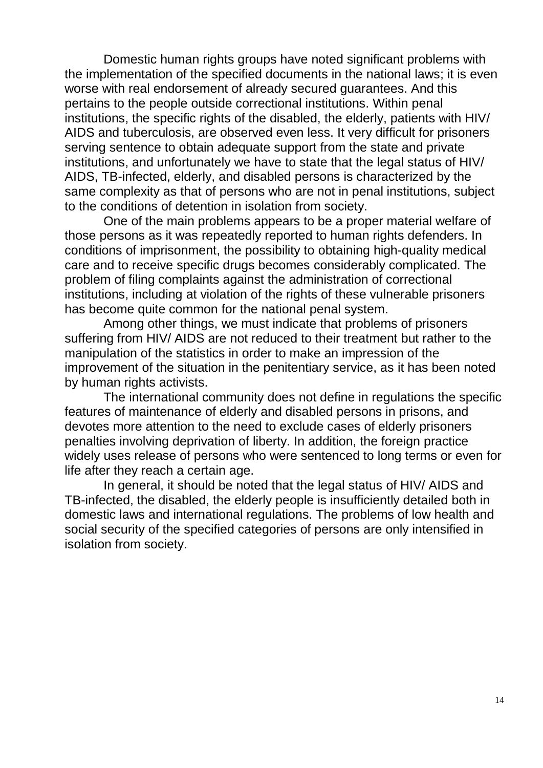Domestic human rights groups have noted significant problems with the implementation of the specified documents in the national laws; it is even worse with real endorsement of already secured guarantees. And this pertains to the people outside correctional institutions. Within penal institutions, the specific rights of the disabled, the elderly, patients with HIV/ AIDS and tuberculosis, are observed even less. It very difficult for prisoners serving sentence to obtain adequate support from the state and private institutions, and unfortunately we have to state that the legal status of HIV/ AIDS, TB-infected, elderly, and disabled persons is characterized by the same complexity as that of persons who are not in penal institutions, subject to the conditions of detention in isolation from society.

One of the main problems appears to be a proper material welfare of those persons as it was repeatedly reported to human rights defenders. In conditions of imprisonment, the possibility to obtaining high-quality medical care and to receive specific drugs becomes considerably complicated. The problem of filing complaints against the administration of correctional institutions, including at violation of the rights of these vulnerable prisoners has become quite common for the national penal system.

Among other things, we must indicate that problems of prisoners suffering from HIV/ AIDS are not reduced to their treatment but rather to the manipulation of the statistics in order to make an impression of the improvement of the situation in the penitentiary service, as it has been noted by human rights activists.

The international community does not define in regulations the specific features of maintenance of elderly and disabled persons in prisons, and devotes more attention to the need to exclude cases of elderly prisoners penalties involving deprivation of liberty. In addition, the foreign practice widely uses release of persons who were sentenced to long terms or even for life after they reach a certain age.

In general, it should be noted that the legal status of HIV/ AIDS and TB-infected, the disabled, the elderly people is insufficiently detailed both in domestic laws and international regulations. The problems of low health and social security of the specified categories of persons are only intensified in isolation from society.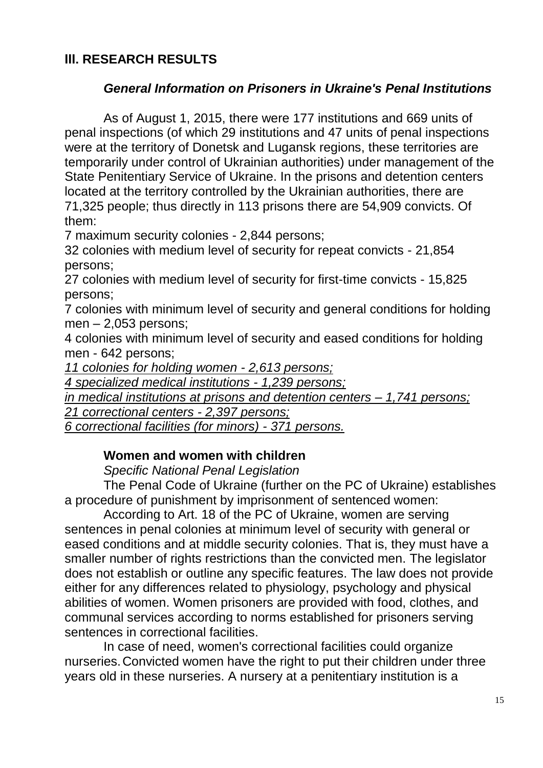# **ІІІ. RESEARCH RESULTS**

## *General Information on Prisoners in Ukraine's Penal Institutions*

As of August 1, 2015, there were 177 institutions and 669 units of penal inspections (of which 29 institutions and 47 units of penal inspections were at the territory of Donetsk and Lugansk regions, these territories are temporarily under control of Ukrainian authorities) under management of the State Penitentiary Service of Ukraine. In the prisons and detention centers located at the territory controlled by the Ukrainian authorities, there are 71,325 people; thus directly in 113 prisons there are 54,909 convicts. Of them:

7 maximum security colonies - 2,844 persons;

32 colonies with medium level of security for repeat convicts - 21,854 persons;

27 colonies with medium level of security for first-time convicts - 15,825 persons;

7 colonies with minimum level of security and general conditions for holding men – 2,053 persons;

4 colonies with minimum level of security and eased conditions for holding men - 642 persons;

*11 colonies for holding women - 2,613 persons;*

*4 specialized medical institutions - 1,239 persons;*

*in medical institutions at prisons and detention centers – 1,741 persons;*

*21 correctional centers - 2,397 persons;*

*6 correctional facilities (for minors) - 371 persons.*

## **Women and women with children**

*Specific National Penal Legislation* 

The Penal Code of Ukraine (further on the PC of Ukraine) establishes a procedure of punishment by imprisonment of sentenced women:

According to Art. 18 of the PC of Ukraine, women are serving sentences in penal colonies at minimum level of security with general or eased conditions and at middle security colonies. That is, they must have a smaller number of rights restrictions than the convicted men. The legislator does not establish or outline any specific features. The law does not provide either for any differences related to physiology, psychology and physical abilities of women. Women prisoners are provided with food, clothes, and communal services according to norms established for prisoners serving sentences in correctional facilities.

In case of need, women's correctional facilities could organize nurseries.Convicted women have the right to put their children under three years old in these nurseries. A nursery at a penitentiary institution is a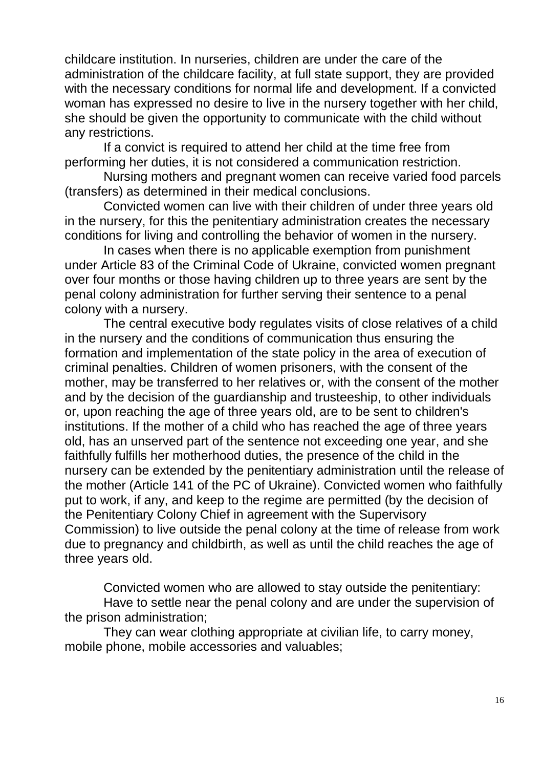childcare institution. In nurseries, children are under the care of the administration of the childcare facility, at full state support, they are provided with the necessary conditions for normal life and development. If a convicted woman has expressed no desire to live in the nursery together with her child, she should be given the opportunity to communicate with the child without any restrictions.

If a convict is required to attend her child at the time free from performing her duties, it is not considered a communication restriction.

Nursing mothers and pregnant women can receive varied food parcels (transfers) as determined in their medical conclusions.

Convicted women can live with their children of under three years old in the nursery, for this the penitentiary administration creates the necessary conditions for living and controlling the behavior of women in the nursery.

In cases when there is no applicable exemption from punishment under Article 83 of the Criminal Code of Ukraine, convicted women pregnant over four months or those having children up to three years are sent by the penal colony administration for further serving their sentence to a penal colony with a nursery.

The central executive body regulates visits of close relatives of a child in the nursery and the conditions of communication thus ensuring the formation and implementation of the state policy in the area of execution of criminal penalties. Children of women prisoners, with the consent of the mother, may be transferred to her relatives or, with the consent of the mother and by the decision of the guardianship and trusteeship, to other individuals or, upon reaching the age of three years old, are to be sent to children's institutions. If the mother of a child who has reached the age of three years old, has an unserved part of the sentence not exceeding one year, and she faithfully fulfills her motherhood duties, the presence of the child in the nursery can be extended by the penitentiary administration until the release of the mother (Article 141 of the PC of Ukraine). Convicted women who faithfully put to work, if any, and keep to the regime are permitted (by the decision of the Penitentiary Colony Chief in agreement with the Supervisory Commission) to live outside the penal colony at the time of release from work due to pregnancy and childbirth, as well as until the child reaches the age of three years old.

Convicted women who are allowed to stay outside the penitentiary:

Have to settle near the penal colony and are under the supervision of the prison administration;

They can wear clothing appropriate at civilian life, to carry money, mobile phone, mobile accessories and valuables;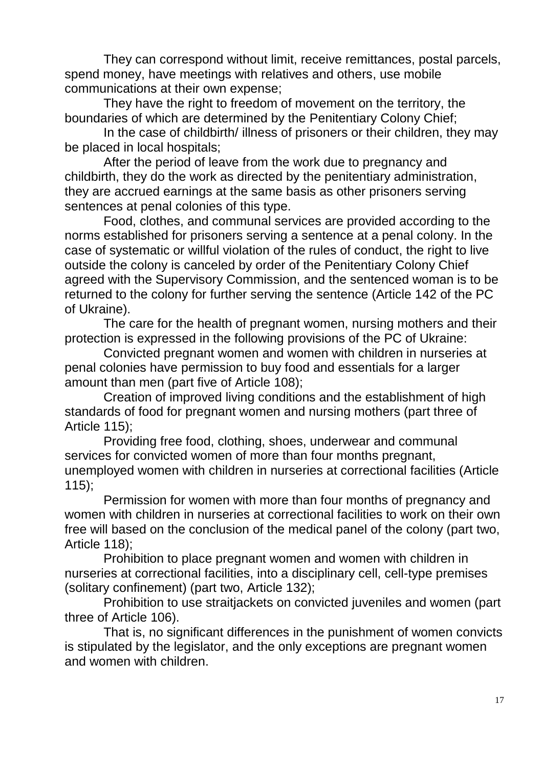They can correspond without limit, receive remittances, postal parcels, spend money, have meetings with relatives and others, use mobile communications at their own expense;

They have the right to freedom of movement on the territory, the boundaries of which are determined by the Penitentiary Colony Chief;

In the case of childbirth/ illness of prisoners or their children, they may be placed in local hospitals;

After the period of leave from the work due to pregnancy and childbirth, they do the work as directed by the penitentiary administration, they are accrued earnings at the same basis as other prisoners serving sentences at penal colonies of this type.

Food, clothes, and communal services are provided according to the norms established for prisoners serving a sentence at a penal colony. In the case of systematic or willful violation of the rules of conduct, the right to live outside the colony is canceled by order of the Penitentiary Colony Chief agreed with the Supervisory Commission, and the sentenced woman is to be returned to the colony for further serving the sentence (Article 142 of the PC of Ukraine).

The care for the health of pregnant women, nursing mothers and their protection is expressed in the following provisions of the PC of Ukraine:

Convicted pregnant women and women with children in nurseries at penal colonies have permission to buy food and essentials for a larger amount than men (part five of Article 108);

Creation of improved living conditions and the establishment of high standards of food for pregnant women and nursing mothers (part three of Article 115);

Providing free food, clothing, shoes, underwear and communal services for convicted women of more than four months pregnant, unemployed women with children in nurseries at correctional facilities (Article  $115$ :

Permission for women with more than four months of pregnancy and women with children in nurseries at correctional facilities to work on their own free will based on the conclusion of the medical panel of the colony (part two, Article 118);

Prohibition to place pregnant women and women with children in nurseries at correctional facilities, into a disciplinary cell, cell-type premises (solitary confinement) (part two, Article 132);

Prohibition to use straitjackets on convicted juveniles and women (part three of Article 106).

That is, no significant differences in the punishment of women convicts is stipulated by the legislator, and the only exceptions are pregnant women and women with children.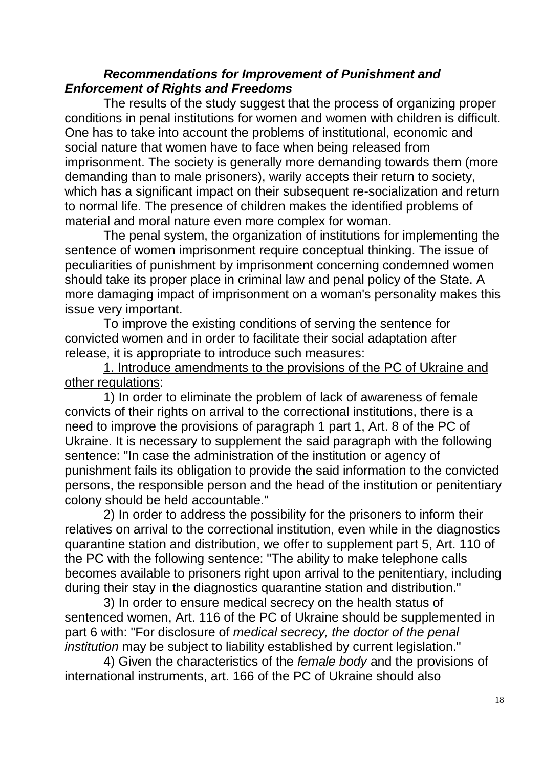#### *Recommendations for Improvement of Punishment and Enforcement of Rights and Freedoms*

The results of the study suggest that the process of organizing proper conditions in penal institutions for women and women with children is difficult. One has to take into account the problems of institutional, economic and social nature that women have to face when being released from imprisonment. The society is generally more demanding towards them (more demanding than to male prisoners), warily accepts their return to society, which has a significant impact on their subsequent re-socialization and return to normal life. The presence of children makes the identified problems of material and moral nature even more complex for woman.

The penal system, the organization of institutions for implementing the sentence of women imprisonment require conceptual thinking. The issue of peculiarities of punishment by imprisonment concerning condemned women should take its proper place in criminal law and penal policy of the State. A more damaging impact of imprisonment on a woman's personality makes this issue very important.

To improve the existing conditions of serving the sentence for convicted women and in order to facilitate their social adaptation after release, it is appropriate to introduce such measures:

1. Introduce amendments to the provisions of the PC of Ukraine and other regulations:

1) In order to eliminate the problem of lack of awareness of female convicts of their rights on arrival to the correctional institutions, there is a need to improve the provisions of paragraph 1 part 1, Art. 8 of the PC of Ukraine. It is necessary to supplement the said paragraph with the following sentence: "In case the administration of the institution or agency of punishment fails its obligation to provide the said information to the convicted persons, the responsible person and the head of the institution or penitentiary colony should be held accountable."

2) In order to address the possibility for the prisoners to inform their relatives on arrival to the correctional institution, even while in the diagnostics quarantine station and distribution, we offer to supplement part 5, Art. 110 of the PC with the following sentence: "The ability to make telephone calls becomes available to prisoners right upon arrival to the penitentiary, including during their stay in the diagnostics quarantine station and distribution."

3) In order to ensure medical secrecy on the health status of sentenced women, Art. 116 of the PC of Ukraine should be supplemented in part 6 with: "For disclosure of *medical secrecy, the doctor of the penal institution* may be subject to liability established by current legislation."

4) Given the characteristics of the *female body* and the provisions of international instruments, art. 166 of the PC of Ukraine should also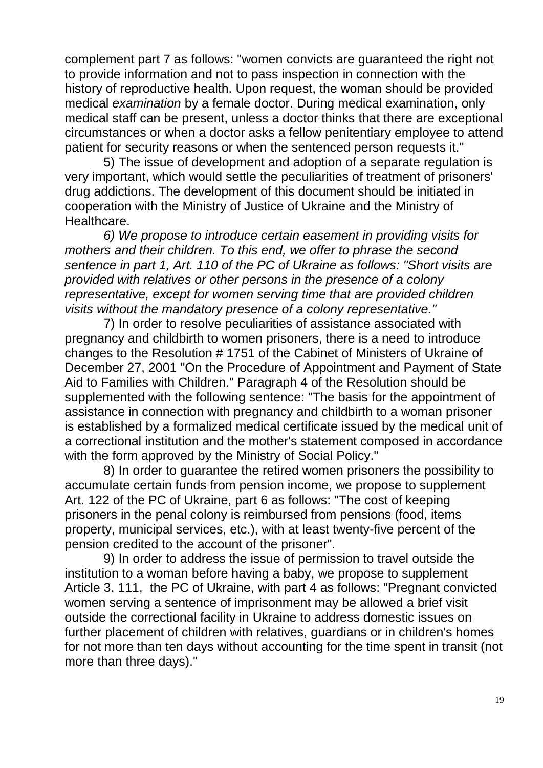complement part 7 as follows: "women convicts are guaranteed the right not to provide information and not to pass inspection in connection with the history of reproductive health. Upon request, the woman should be provided medical *examination* by a female doctor. During medical examination, only medical staff can be present, unless a doctor thinks that there are exceptional circumstances or when a doctor asks a fellow penitentiary employee to attend patient for security reasons or when the sentenced person requests it."

5) The issue of development and adoption of a separate regulation is very important, which would settle the peculiarities of treatment of prisoners' drug addictions. The development of this document should be initiated in cooperation with the Ministry of Justice of Ukraine and the Ministry of **Healthcare** 

*6) We propose to introduce certain easement in providing visits for mothers and their children. To this end, we offer to phrase the second sentence in part 1, Art. 110 of the PC of Ukraine as follows: "Short visits are provided with relatives or other persons in the presence of a colony representative, except for women serving time that are provided children visits without the mandatory presence of a colony representative."*

7) In order to resolve peculiarities of assistance associated with pregnancy and childbirth to women prisoners, there is a need to introduce changes to the Resolution # 1751 of the Cabinet of Ministers of Ukraine of December 27, 2001 "On the Procedure of Appointment and Payment of State Aid to Families with Children." Paragraph 4 of the Resolution should be supplemented with the following sentence: "The basis for the appointment of assistance in connection with pregnancy and childbirth to a woman prisoner is established by a formalized medical certificate issued by the medical unit of a correctional institution and the mother's statement composed in accordance with the form approved by the Ministry of Social Policy."

8) In order to guarantee the retired women prisoners the possibility to accumulate certain funds from pension income, we propose to supplement Art. 122 of the PC of Ukraine, part 6 as follows: "The cost of keeping prisoners in the penal colony is reimbursed from pensions (food, items property, municipal services, etc.), with at least twenty-five percent of the pension credited to the account of the prisoner".

9) In order to address the issue of permission to travel outside the institution to a woman before having a baby, we propose to supplement Article 3. 111, the PC of Ukraine, with part 4 as follows: "Pregnant convicted women serving a sentence of imprisonment may be allowed a brief visit outside the correctional facility in Ukraine to address domestic issues on further placement of children with relatives, guardians or in children's homes for not more than ten days without accounting for the time spent in transit (not more than three days)."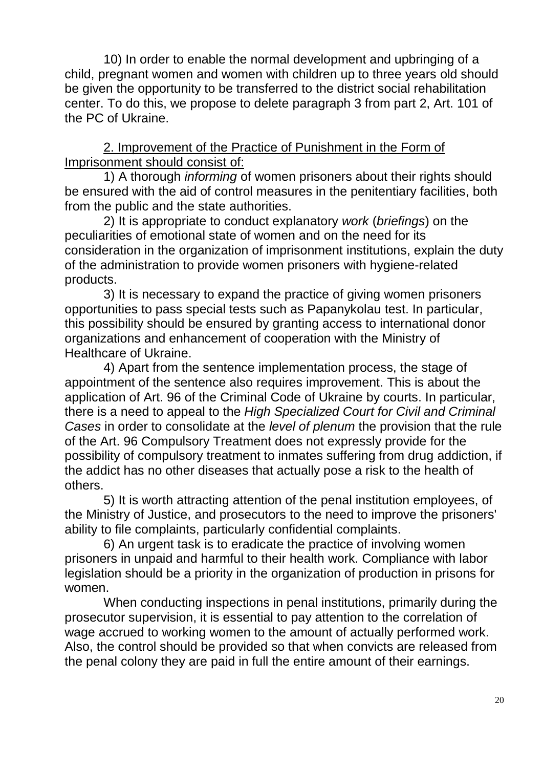10) In order to enable the normal development and upbringing of a child, pregnant women and women with children up to three years old should be given the opportunity to be transferred to the district social rehabilitation center. To do this, we propose to delete paragraph 3 from part 2, Art. 101 of the PC of Ukraine.

2. Improvement of the Practice of Punishment in the Form of Imprisonment should consist of:

1) A thorough *informing* of women prisoners about their rights should be ensured with the aid of control measures in the penitentiary facilities, both from the public and the state authorities.

2) It is appropriate to conduct explanatory *work* (*briefings*) on the peculiarities of emotional state of women and on the need for its consideration in the organization of imprisonment institutions, explain the duty of the administration to provide women prisoners with hygiene-related products.

3) It is necessary to expand the practice of giving women prisoners opportunities to pass special tests such as Papanykolau test. In particular, this possibility should be ensured by granting access to international donor organizations and enhancement of cooperation with the Ministry of Healthcare of Ukraine.

4) Apart from the sentence implementation process, the stage of appointment of the sentence also requires improvement. This is about the application of Art. 96 of the Criminal Code of Ukraine by courts. In particular, there is a need to appeal to the *High Specialized Court for Civil and Criminal Cases* in order to consolidate at the *level of plenum* the provision that the rule of the Art. 96 Compulsory Treatment does not expressly provide for the possibility of compulsory treatment to inmates suffering from drug addiction, if the addict has no other diseases that actually pose a risk to the health of others.

5) It is worth attracting attention of the penal institution employees, of the Ministry of Justice, and prosecutors to the need to improve the prisoners' ability to file complaints, particularly confidential complaints.

6) An urgent task is to eradicate the practice of involving women prisoners in unpaid and harmful to their health work. Compliance with labor legislation should be a priority in the organization of production in prisons for women.

When conducting inspections in penal institutions, primarily during the prosecutor supervision, it is essential to pay attention to the correlation of wage accrued to working women to the amount of actually performed work. Also, the control should be provided so that when convicts are released from the penal colony they are paid in full the entire amount of their earnings.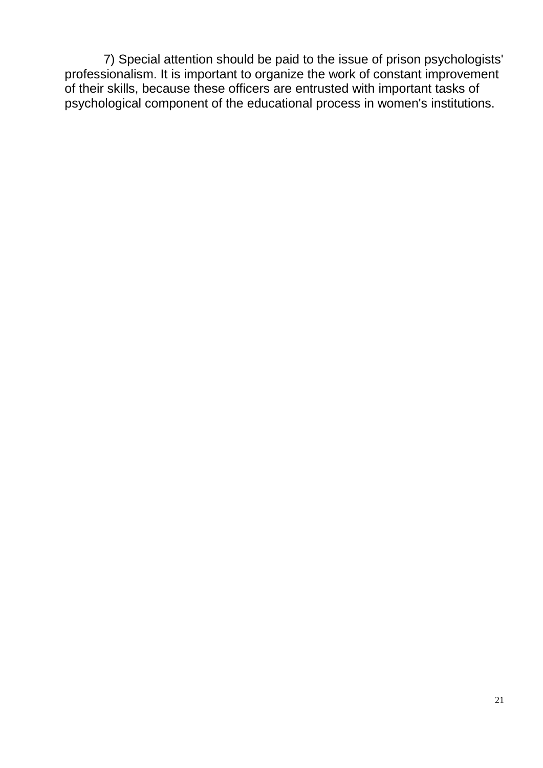7) Special attention should be paid to the issue of prison psychologists' professionalism. It is important to organize the work of constant improvement of their skills, because these officers are entrusted with important tasks of psychological component of the educational process in women's institutions.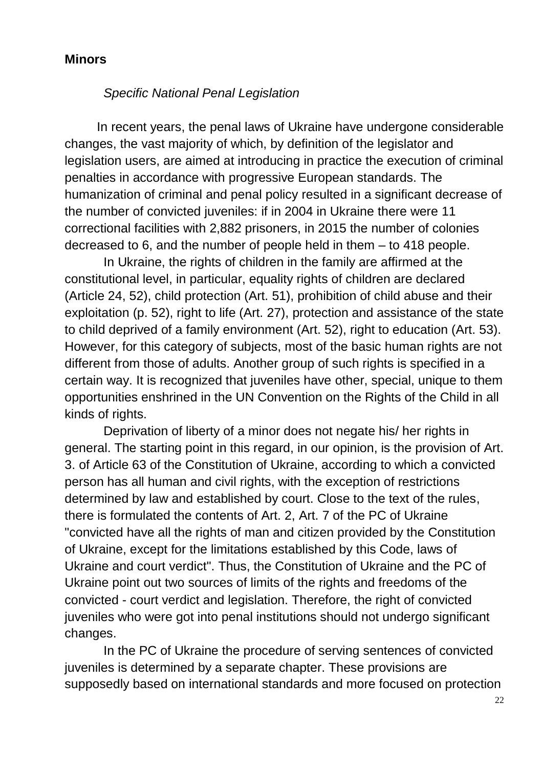#### **Minors**

## *Specific National Penal Legislation*

In recent years, the penal laws of Ukraine have undergone considerable changes, the vast majority of which, by definition of the legislator and legislation users, are aimed at introducing in practice the execution of criminal penalties in accordance with progressive European standards. The humanization of criminal and penal policy resulted in a significant decrease of the number of convicted juveniles: if in 2004 in Ukraine there were 11 correctional facilities with 2,882 prisoners, in 2015 the number of colonies decreased to 6, and the number of people held in them – to 418 people.

In Ukraine, the rights of children in the family are affirmed at the constitutional level, in particular, equality rights of children are declared (Article 24, 52), child protection (Art. 51), prohibition of child abuse and their exploitation (p. 52), right to life (Art. 27), protection and assistance of the state to child deprived of a family environment (Art. 52), right to education (Art. 53). However, for this category of subjects, most of the basic human rights are not different from those of adults. Another group of such rights is specified in a certain way. It is recognized that juveniles have other, special, unique to them opportunities enshrined in the UN Convention on the Rights of the Child in all kinds of rights.

Deprivation of liberty of a minor does not negate his/ her rights in general. The starting point in this regard, in our opinion, is the provision of Art. 3. of Article 63 of the Constitution of Ukraine, according to which a convicted person has all human and civil rights, with the exception of restrictions determined by law and established by court. Close to the text of the rules, there is formulated the contents of Art. 2, Art. 7 of the PC of Ukraine "convicted have all the rights of man and citizen provided by the Constitution of Ukraine, except for the limitations established by this Code, laws of Ukraine and court verdict". Thus, the Constitution of Ukraine and the PC of Ukraine point out two sources of limits of the rights and freedoms of the convicted - court verdict and legislation. Therefore, the right of convicted juveniles who were got into penal institutions should not undergo significant changes.

In the PC of Ukraine the procedure of serving sentences of convicted juveniles is determined by a separate chapter. These provisions are supposedly based on international standards and more focused on protection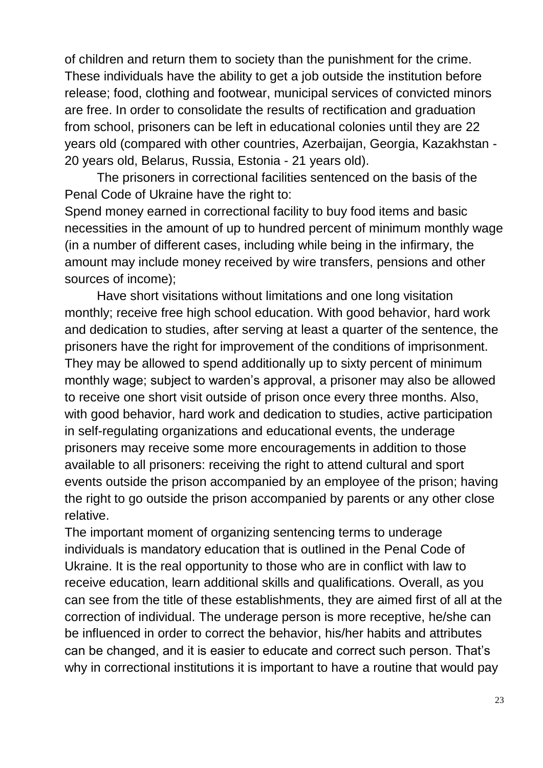of children and return them to society than the punishment for the crime. These individuals have the ability to get a job outside the institution before release; food, clothing and footwear, municipal services of convicted minors are free. In order to consolidate the results of rectification and graduation from school, prisoners can be left in educational colonies until they are 22 years old (compared with other countries, Azerbaijan, Georgia, Kazakhstan - 20 years old, Belarus, Russia, Estonia - 21 years old).

The prisoners in correctional facilities sentenced on the basis of the Penal Code of Ukraine have the right to:

Spend money earned in correctional facility to buy food items and basic necessities in the amount of up to hundred percent of minimum monthly wage (in a number of different cases, including while being in the infirmary, the amount may include money received by wire transfers, pensions and other sources of income);

Have short visitations without limitations and one long visitation monthly; receive free high school education. With good behavior, hard work and dedication to studies, after serving at least a quarter of the sentence, the prisoners have the right for improvement of the conditions of imprisonment. They may be allowed to spend additionally up to sixty percent of minimum monthly wage; subject to warden's approval, a prisoner may also be allowed to receive one short visit outside of prison once every three months. Also, with good behavior, hard work and dedication to studies, active participation in self-regulating organizations and educational events, the underage prisoners may receive some more encouragements in addition to those available to all prisoners: receiving the right to attend cultural and sport events outside the prison accompanied by an employee of the prison; having the right to go outside the prison accompanied by parents or any other close relative.

The important moment of organizing sentencing terms to underage individuals is mandatory education that is outlined in the Penal Code of Ukraine. It is the real opportunity to those who are in conflict with law to receive education, learn additional skills and qualifications. Overall, as you can see from the title of these establishments, they are aimed first of all at the correction of individual. The underage person is more receptive, he/she can be influenced in order to correct the behavior, his/her habits and attributes can be changed, and it is easier to educate and correct such person. That's why in correctional institutions it is important to have a routine that would pay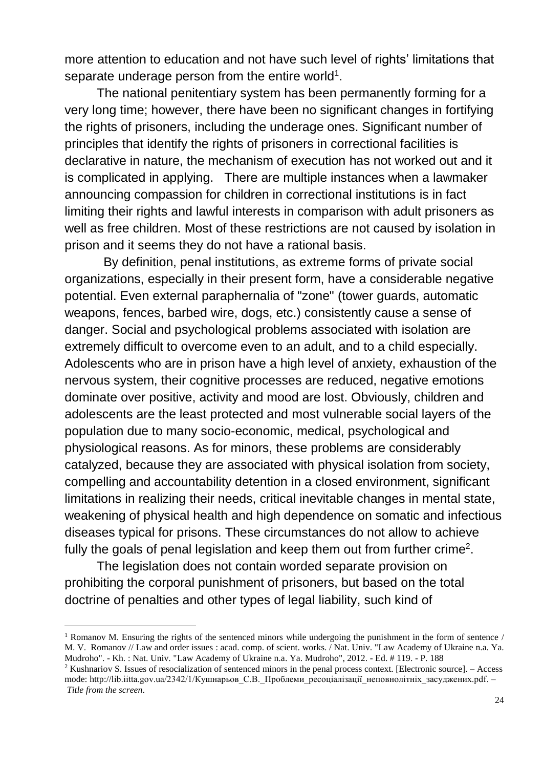more attention to education and not have such level of rights' limitations that separate underage person from the entire world<sup>1</sup>.

The national penitentiary system has been permanently forming for a very long time; however, there have been no significant changes in fortifying the rights of prisoners, including the underage ones. Significant number of principles that identify the rights of prisoners in correctional facilities is declarative in nature, the mechanism of execution has not worked out and it is complicated in applying. There are multiple instances when a lawmaker announcing compassion for children in correctional institutions is in fact limiting their rights and lawful interests in comparison with adult prisoners as well as free children. Most of these restrictions are not caused by isolation in prison and it seems they do not have a rational basis.

By definition, penal institutions, as extreme forms of private social organizations, especially in their present form, have a considerable negative potential. Even external paraphernalia of "zone" (tower guards, automatic weapons, fences, barbed wire, dogs, etc.) consistently cause a sense of danger. Social and psychological problems associated with isolation are extremely difficult to overcome even to an adult, and to a child especially. Adolescents who are in prison have a high level of anxiety, exhaustion of the nervous system, their cognitive processes are reduced, negative emotions dominate over positive, activity and mood are lost. Obviously, children and adolescents are the least protected and most vulnerable social layers of the population due to many socio-economic, medical, psychological and physiological reasons. As for minors, these problems are considerably catalyzed, because they are associated with physical isolation from society, compelling and accountability detention in a closed environment, significant limitations in realizing their needs, critical inevitable changes in mental state, weakening of physical health and high dependence on somatic and infectious diseases typical for prisons. These circumstances do not allow to achieve fully the goals of penal legislation and keep them out from further crime<sup>2</sup>.

The legislation does not contain worded separate provision on prohibiting the corporal punishment of prisoners, but based on the total doctrine of penalties and other types of legal liability, such kind of

 $\overline{a}$ 

<sup>&</sup>lt;sup>1</sup> Romanov M. Ensuring the rights of the sentenced minors while undergoing the punishment in the form of sentence  $/$ M. V. Romanov // Law and order issues : acad. comp. of scient. works. / Nat. Univ. "Law Academy of Ukraine n.a. Ya. Mudroho". - Kh. : Nat. Univ. "Law Academy of Ukraine n.a. Ya. Mudroho", 2012. - Ed. # 119. - P. 188

<sup>2</sup> Kushnariov S. Issues of resocialization of sentenced minors in the penal process context. [Electronic source]. – Access mode: http://lib.iitta.gov.ua/2342/1/Кушнарьов С.В. Проблеми ресоціалізації неповнолітніх засуджених.pdf. – *Title from the screen*.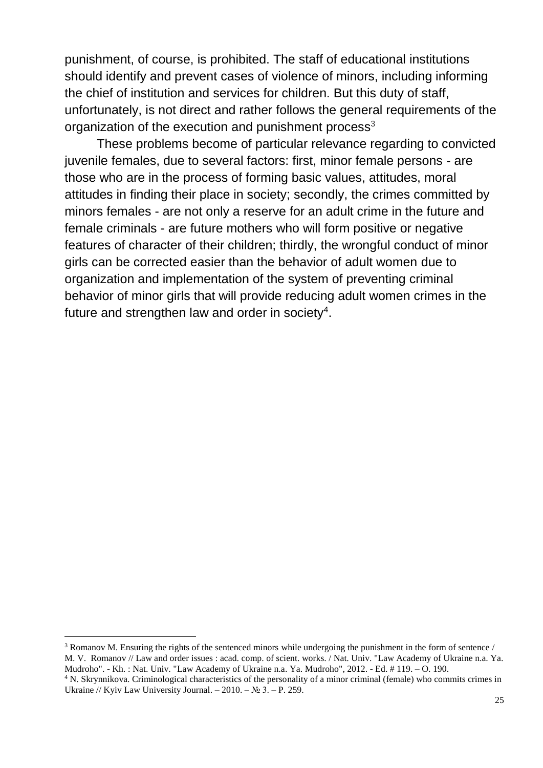punishment, of course, is prohibited. The staff of educational institutions should identify and prevent cases of violence of minors, including informing the chief of institution and services for children. But this duty of staff, unfortunately, is not direct and rather follows the general requirements of the organization of the execution and punishment process<sup>3</sup>

These problems become of particular relevance regarding to convicted juvenile females, due to several factors: first, minor female persons - are those who are in the process of forming basic values, attitudes, moral attitudes in finding their place in society; secondly, the crimes committed by minors females - are not only a reserve for an adult crime in the future and female criminals - are future mothers who will form positive or negative features of character of their children; thirdly, the wrongful conduct of minor girls can be corrected easier than the behavior of adult women due to organization and implementation of the system of preventing criminal behavior of minor girls that will provide reducing adult women crimes in the future and strengthen law and order in society<sup>4</sup>.

 $\overline{a}$ 

<sup>3</sup> Romanov M. Ensuring the rights of the sentenced minors while undergoing the punishment in the form of sentence / M. V. Romanov // Law and order issues : acad. comp. of scient. works. / Nat. Univ. "Law Academy of Ukraine n.a. Ya. Mudroho". - Kh. : Nat. Univ. "Law Academy of Ukraine n.a. Ya. Mudroho", 2012. - Ed. # 119. – O. 190.

<sup>4</sup> N. Skrynnikova. Criminological characteristics of the personality of a minor criminal (female) who commits crimes in Ukraine // Kyiv Law University Journal. – 2010. – № 3. – P. 259.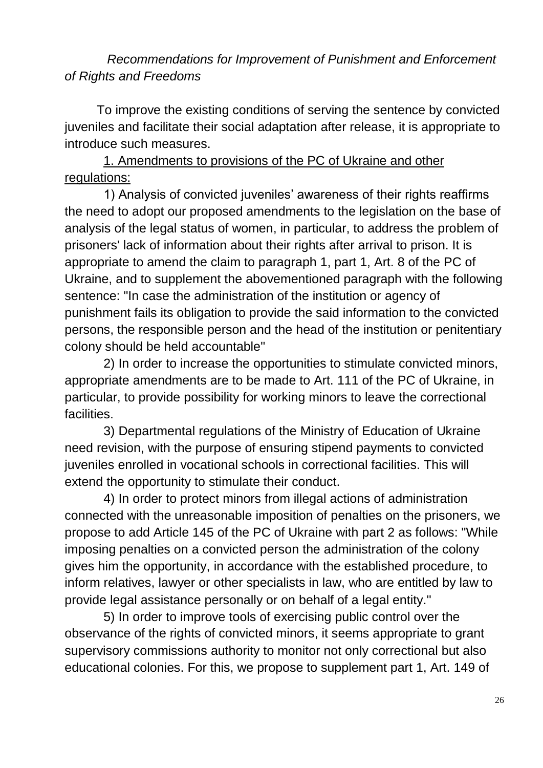*Recommendations for Improvement of Punishment and Enforcement of Rights and Freedoms*

To improve the existing conditions of serving the sentence by convicted juveniles and facilitate their social adaptation after release, it is appropriate to introduce such measures.

1. Amendments to provisions of the PC of Ukraine and other regulations:

1) Analysis of convicted juveniles' awareness of their rights reaffirms the need to adopt our proposed amendments to the legislation on the base of analysis of the legal status of women, in particular, to address the problem of prisoners' lack of information about their rights after arrival to prison. It is appropriate to amend the claim to paragraph 1, part 1, Art. 8 of the PC of Ukraine, and to supplement the abovementioned paragraph with the following sentence: "In case the administration of the institution or agency of punishment fails its obligation to provide the said information to the convicted persons, the responsible person and the head of the institution or penitentiary colony should be held accountable"

2) In order to increase the opportunities to stimulate convicted minors, appropriate amendments are to be made to Art. 111 of the PC of Ukraine, in particular, to provide possibility for working minors to leave the correctional facilities.

3) Departmental regulations of the Ministry of Education of Ukraine need revision, with the purpose of ensuring stipend payments to convicted juveniles enrolled in vocational schools in correctional facilities. This will extend the opportunity to stimulate their conduct.

4) In order to protect minors from illegal actions of administration connected with the unreasonable imposition of penalties on the prisoners, we propose to add Article 145 of the PC of Ukraine with part 2 as follows: "While imposing penalties on a convicted person the administration of the colony gives him the opportunity, in accordance with the established procedure, to inform relatives, lawyer or other specialists in law, who are entitled by law to provide legal assistance personally or on behalf of a legal entity."

5) In order to improve tools of exercising public control over the observance of the rights of convicted minors, it seems appropriate to grant supervisory commissions authority to monitor not only correctional but also educational colonies. For this, we propose to supplement part 1, Art. 149 of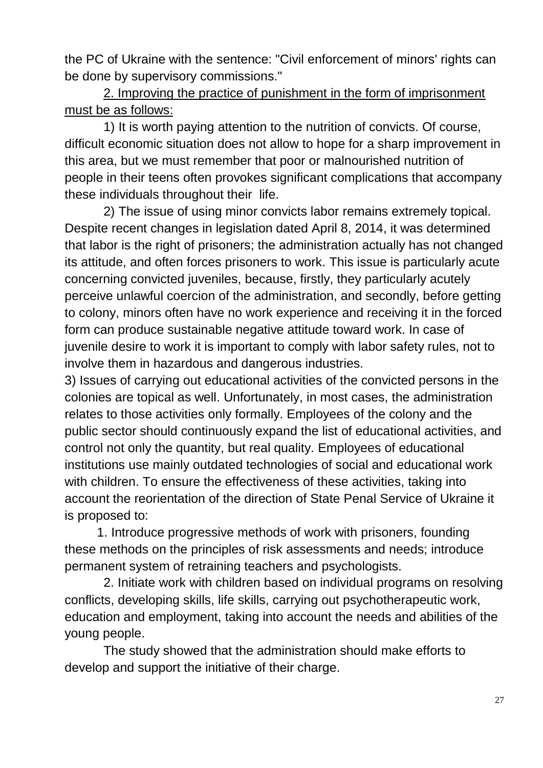the PC of Ukraine with the sentence: "Civil enforcement of minors' rights can be done by supervisory commissions."

2. Improving the practice of punishment in the form of imprisonment must be as follows:

1) It is worth paying attention to the nutrition of convicts. Of course, difficult economic situation does not allow to hope for a sharp improvement in this area, but we must remember that poor or malnourished nutrition of people in their teens often provokes significant complications that accompany these individuals throughout their life.

2) The issue of using minor convicts labor remains extremely topical. Despite recent changes in legislation dated April 8, 2014, it was determined that labor is the right of prisoners; the administration actually has not changed its attitude, and often forces prisoners to work. This issue is particularly acute concerning convicted juveniles, because, firstly, they particularly acutely perceive unlawful coercion of the administration, and secondly, before getting to colony, minors often have no work experience and receiving it in the forced form can produce sustainable negative attitude toward work. In case of juvenile desire to work it is important to comply with labor safety rules, not to involve them in hazardous and dangerous industries.

3) Issues of carrying out educational activities of the convicted persons in the colonies are topical as well. Unfortunately, in most cases, the administration relates to those activities only formally. Employees of the colony and the public sector should continuously expand the list of educational activities, and control not only the quantity, but real quality. Employees of educational institutions use mainly outdated technologies of social and educational work with children. To ensure the effectiveness of these activities, taking into account the reorientation of the direction of State Penal Service of Ukraine it is proposed to:

1. Introduce progressive methods of work with prisoners, founding these methods on the principles of risk assessments and needs; introduce permanent system of retraining teachers and psychologists.

2. Initiate work with children based on individual programs on resolving conflicts, developing skills, life skills, carrying out psychotherapeutic work, education and employment, taking into account the needs and abilities of the young people.

The study showed that the administration should make efforts to develop and support the initiative of their charge.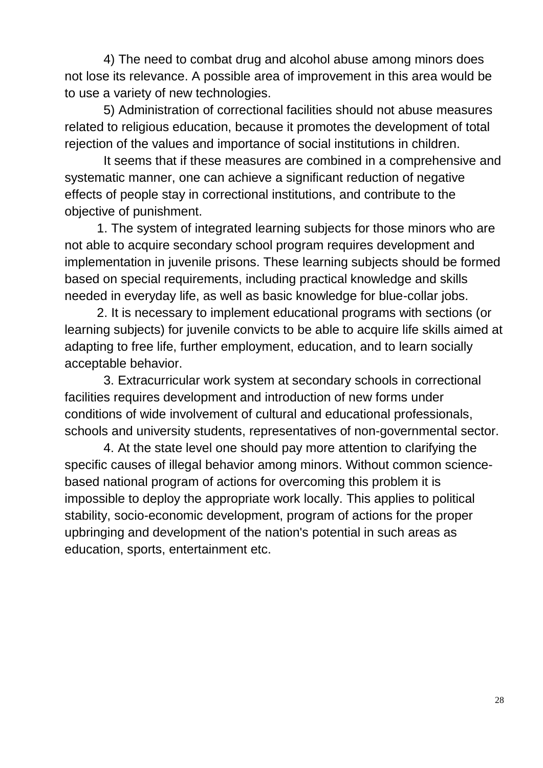4) The need to combat drug and alcohol abuse among minors does not lose its relevance. A possible area of improvement in this area would be to use a variety of new technologies.

5) Administration of correctional facilities should not abuse measures related to religious education, because it promotes the development of total rejection of the values and importance of social institutions in children.

It seems that if these measures are combined in a comprehensive and systematic manner, one can achieve a significant reduction of negative effects of people stay in correctional institutions, and contribute to the objective of punishment.

1. The system of integrated learning subjects for those minors who are not able to acquire secondary school program requires development and implementation in juvenile prisons. These learning subjects should be formed based on special requirements, including practical knowledge and skills needed in everyday life, as well as basic knowledge for blue-collar jobs.

2. It is necessary to implement educational programs with sections (or learning subjects) for juvenile convicts to be able to acquire life skills aimed at adapting to free life, further employment, education, and to learn socially acceptable behavior.

3. Extracurricular work system at secondary schools in correctional facilities requires development and introduction of new forms under conditions of wide involvement of cultural and educational professionals, schools and university students, representatives of non-governmental sector.

4. At the state level one should pay more attention to clarifying the specific causes of illegal behavior among minors. Without common sciencebased national program of actions for overcoming this problem it is impossible to deploy the appropriate work locally. This applies to political stability, socio-economic development, program of actions for the proper upbringing and development of the nation's potential in such areas as education, sports, entertainment etc.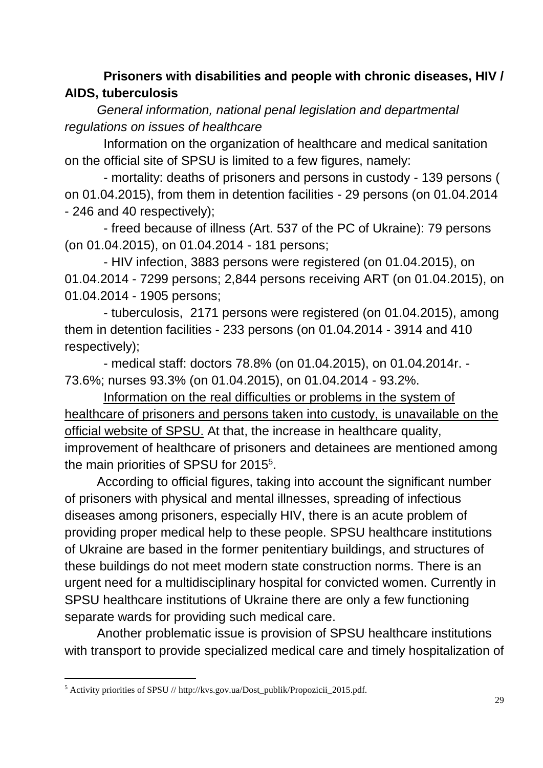## **Prisoners with disabilities and people with chronic diseases, HIV / AIDS, tuberculosis**

*General information, national penal legislation and departmental regulations on issues of healthcare*

Information on the organization of healthcare and medical sanitation on the official site of SPSU is limited to a few figures, namely:

- mortality: deaths of prisoners and persons in custody - 139 persons ( on 01.04.2015), from them in detention facilities - 29 persons (on 01.04.2014 - 246 and 40 respectively);

- freed because of illness (Art. 537 of the PC of Ukraine): 79 persons (on 01.04.2015), on 01.04.2014 - 181 persons;

- HIV infection, 3883 persons were registered (on 01.04.2015), on 01.04.2014 - 7299 persons; 2,844 persons receiving ART (on 01.04.2015), on 01.04.2014 - 1905 persons;

- tuberculosis, 2171 persons were registered (on 01.04.2015), among them in detention facilities - 233 persons (on 01.04.2014 - 3914 and 410 respectively);

- medical staff: doctors 78.8% (on 01.04.2015), on 01.04.2014r. - 73.6%; nurses 93.3% (on 01.04.2015), on 01.04.2014 - 93.2%.

Information on the real difficulties or problems in the system of healthcare of prisoners and persons taken into custody, is unavailable on the official website of SPSU. At that, the increase in healthcare quality, improvement of healthcare of prisoners and detainees are mentioned among the main priorities of SPSU for 2015<sup>5</sup>.

According to official figures, taking into account the significant number of prisoners with physical and mental illnesses, spreading of infectious diseases among prisoners, especially HIV, there is an acute problem of providing proper medical help to these people. SPSU healthcare institutions of Ukraine are based in the former penitentiary buildings, and structures of these buildings do not meet modern state construction norms. There is an urgent need for a multidisciplinary hospital for convicted women. Currently in SPSU healthcare institutions of Ukraine there are only a few functioning separate wards for providing such medical care.

Another problematic issue is provision of SPSU healthcare institutions with transport to provide specialized medical care and timely hospitalization of

l

<sup>5</sup> Activity priorities of SPSU // http://kvs.gov.ua/Dost\_publik/Propozicii\_2015.pdf.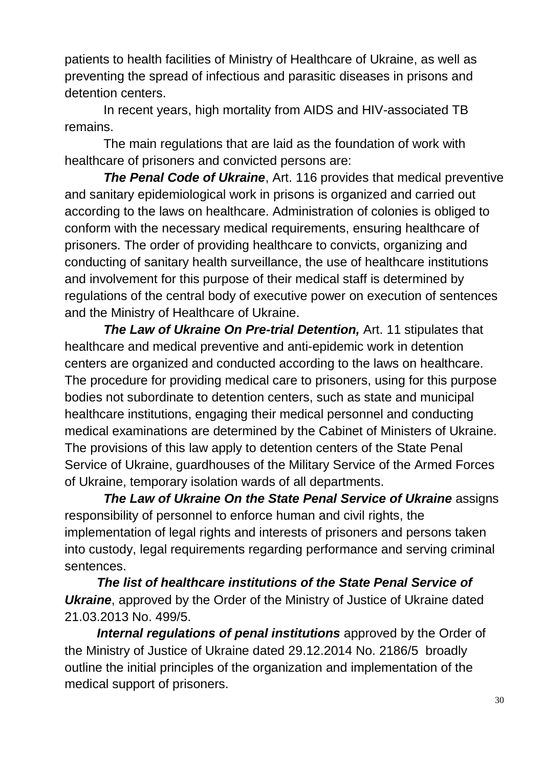patients to health facilities of Ministry of Healthcare of Ukraine, as well as preventing the spread of infectious and parasitic diseases in prisons and detention centers.

In recent years, high mortality from AIDS and HIV-associated TB remains.

The main regulations that are laid as the foundation of work with healthcare of prisoners and convicted persons are:

*The Penal Code of Ukraine*, Art. 116 provides that medical preventive and sanitary epidemiological work in prisons is organized and carried out according to the laws on healthcare. Administration of colonies is obliged to conform with the necessary medical requirements, ensuring healthcare of prisoners. The order of providing healthcare to convicts, organizing and conducting of sanitary health surveillance, the use of healthcare institutions and involvement for this purpose of their medical staff is determined by regulations of the central body of executive power on execution of sentences and the Ministry of Healthcare of Ukraine.

*The Law of Ukraine On Pre-trial Detention,* Art. 11 stipulates that healthcare and medical preventive and anti-epidemic work in detention centers are organized and conducted according to the laws on healthcare. The procedure for providing medical care to prisoners, using for this purpose bodies not subordinate to detention centers, such as state and municipal healthcare institutions, engaging their medical personnel and conducting medical examinations are determined by the Cabinet of Ministers of Ukraine. The provisions of this law apply to detention centers of the State Penal Service of Ukraine, guardhouses of the Military Service of the Armed Forces of Ukraine, temporary isolation wards of all departments.

*The Law of Ukraine On the State Penal Service of Ukraine* assigns responsibility of personnel to enforce human and civil rights, the implementation of legal rights and interests of prisoners and persons taken into custody, legal requirements regarding performance and serving criminal sentences.

*The list of healthcare institutions of the State Penal Service of*  **Ukraine**, approved by the Order of the Ministry of Justice of Ukraine dated 21.03.2013 No. 499/5.

*Internal regulations of penal institutions* approved by the Order of the Ministry of Justice of Ukraine dated 29.12.2014 No. 2186/5 broadly outline the initial principles of the organization and implementation of the medical support of prisoners.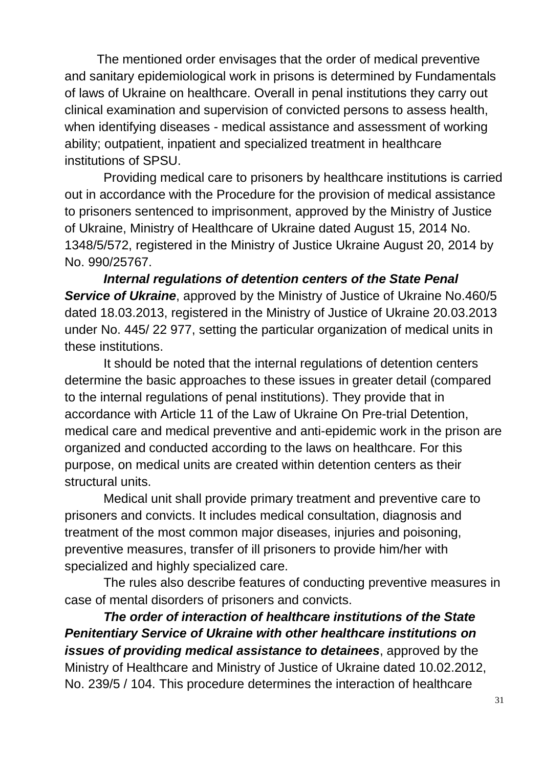The mentioned order envisages that the order of medical preventive and sanitary epidemiological work in prisons is determined by Fundamentals of laws of Ukraine on healthcare. Overall in penal institutions they carry out clinical examination and supervision of convicted persons to assess health, when identifying diseases - medical assistance and assessment of working ability; outpatient, inpatient and specialized treatment in healthcare institutions of SPSU.

Providing medical care to prisoners by healthcare institutions is carried out in accordance with the Procedure for the provision of medical assistance to prisoners sentenced to imprisonment, approved by the Ministry of Justice of Ukraine, Ministry of Healthcare of Ukraine dated August 15, 2014 No. 1348/5/572, registered in the Ministry of Justice Ukraine August 20, 2014 by No. 990/25767.

*Internal regulations of detention centers of the State Penal Service of Ukraine*, approved by the Ministry of Justice of Ukraine No.460/5 dated 18.03.2013, registered in the Ministry of Justice of Ukraine 20.03.2013 under No. 445/ 22 977, setting the particular organization of medical units in these institutions.

It should be noted that the internal regulations of detention centers determine the basic approaches to these issues in greater detail (compared to the internal regulations of penal institutions). They provide that in accordance with Article 11 of the Law of Ukraine On Pre-trial Detention, medical care and medical preventive and anti-epidemic work in the prison are organized and conducted according to the laws on healthcare. For this purpose, on medical units are created within detention centers as their structural units.

Medical unit shall provide primary treatment and preventive care to prisoners and convicts. It includes medical consultation, diagnosis and treatment of the most common major diseases, injuries and poisoning, preventive measures, transfer of ill prisoners to provide him/her with specialized and highly specialized care.

The rules also describe features of conducting preventive measures in case of mental disorders of prisoners and convicts.

*The order of interaction of healthcare institutions of the State Penitentiary Service of Ukraine with other healthcare institutions on issues of providing medical assistance to detainees*, approved by the Ministry of Healthcare and Ministry of Justice of Ukraine dated 10.02.2012, No. 239/5 / 104. This procedure determines the interaction of healthcare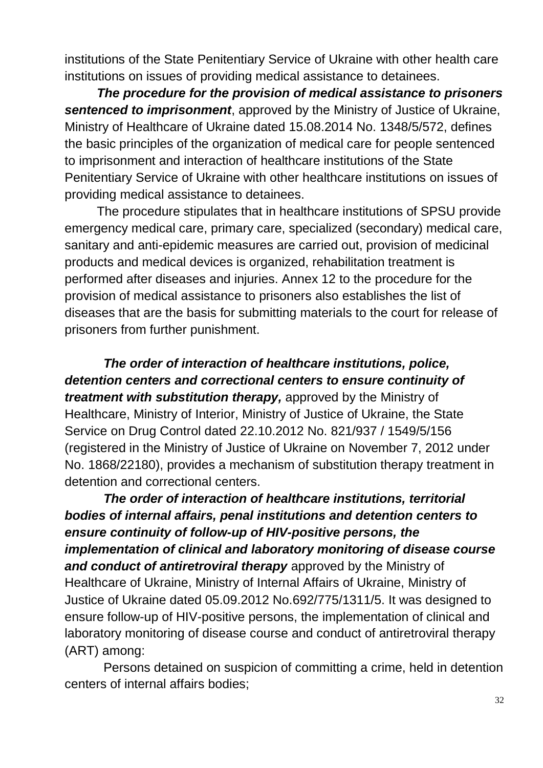institutions of the State Penitentiary Service of Ukraine with other health care institutions on issues of providing medical assistance to detainees.

*The procedure for the provision of medical assistance to prisoners sentenced to imprisonment*, approved by the Ministry of Justice of Ukraine, Ministry of Healthcare of Ukraine dated 15.08.2014 No. 1348/5/572, defines the basic principles of the organization of medical care for people sentenced to imprisonment and interaction of healthcare institutions of the State Penitentiary Service of Ukraine with other healthcare institutions on issues of providing medical assistance to detainees.

The procedure stipulates that in healthcare institutions of SPSU provide emergency medical care, primary care, specialized (secondary) medical care, sanitary and anti-epidemic measures are carried out, provision of medicinal products and medical devices is organized, rehabilitation treatment is performed after diseases and injuries. Annex 12 to the procedure for the provision of medical assistance to prisoners also establishes the list of diseases that are the basis for submitting materials to the court for release of prisoners from further punishment.

*The order of interaction of healthcare institutions, police, detention centers and correctional centers to ensure continuity of treatment with substitution therapy,* approved by the Ministry of Healthcare, Ministry of Interior, Ministry of Justice of Ukraine, the State Service on Drug Control dated 22.10.2012 No. 821/937 / 1549/5/156 (registered in the Ministry of Justice of Ukraine on November 7, 2012 under No. 1868/22180), provides a mechanism of substitution therapy treatment in detention and correctional centers.

*The order of interaction of healthcare institutions, territorial bodies of internal affairs, penal institutions and detention centers to ensure continuity of follow-up of HIV-positive persons, the implementation of clinical and laboratory monitoring of disease course and conduct of antiretroviral therapy* approved by the Ministry of Healthcare of Ukraine, Ministry of Internal Affairs of Ukraine, Ministry of Justice of Ukraine dated 05.09.2012 No.692/775/1311/5. It was designed to ensure follow-up of HIV-positive persons, the implementation of clinical and laboratory monitoring of disease course and conduct of antiretroviral therapy (ART) among:

Persons detained on suspicion of committing a crime, held in detention centers of internal affairs bodies;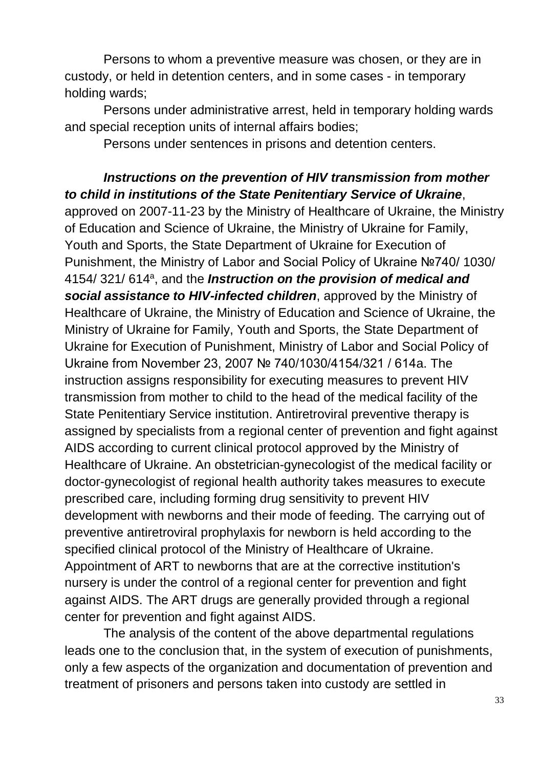Persons to whom a preventive measure was chosen, or they are in custody, or held in detention centers, and in some cases - in temporary holding wards;

Persons under administrative arrest, held in temporary holding wards and special reception units of internal affairs bodies;

Persons under sentences in prisons and detention centers.

*Instructions on the prevention of HIV transmission from mother to child in institutions of the State Penitentiary Service of Ukraine*, approved on 2007-11-23 by the Ministry of Healthcare of Ukraine, the Ministry of Education and Science of Ukraine, the Ministry of Ukraine for Family, Youth and Sports, the State Department of Ukraine for Execution of Punishment, the Ministry of Labor and Social Policy of Ukraine №740/ 1030/ 4154/321/614<sup>a</sup>, and the *Instruction on the provision of medical and social assistance to HIV-infected children*, approved by the Ministry of Healthcare of Ukraine, the Ministry of Education and Science of Ukraine, the Ministry of Ukraine for Family, Youth and Sports, the State Department of Ukraine for Execution of Punishment, Ministry of Labor and Social Policy of Ukraine from November 23, 2007 № 740/1030/4154/321 / 614a. The instruction assigns responsibility for executing measures to prevent HIV transmission from mother to child to the head of the medical facility of the State Penitentiary Service institution. Antiretroviral preventive therapy is assigned by specialists from a regional center of prevention and fight against AIDS according to current clinical protocol approved by the Ministry of Healthcare of Ukraine. An obstetrician-gynecologist of the medical facility or doctor-gynecologist of regional health authority takes measures to execute prescribed care, including forming drug sensitivity to prevent HIV development with newborns and their mode of feeding. The carrying out of preventive antiretroviral prophylaxis for newborn is held according to the specified clinical protocol of the Ministry of Healthcare of Ukraine. Appointment of ART to newborns that are at the corrective institution's nursery is under the control of a regional center for prevention and fight against AIDS. The ART drugs are generally provided through a regional center for prevention and fight against AIDS.

The analysis of the content of the above departmental regulations leads one to the conclusion that, in the system of execution of punishments, only a few aspects of the organization and documentation of prevention and treatment of prisoners and persons taken into custody are settled in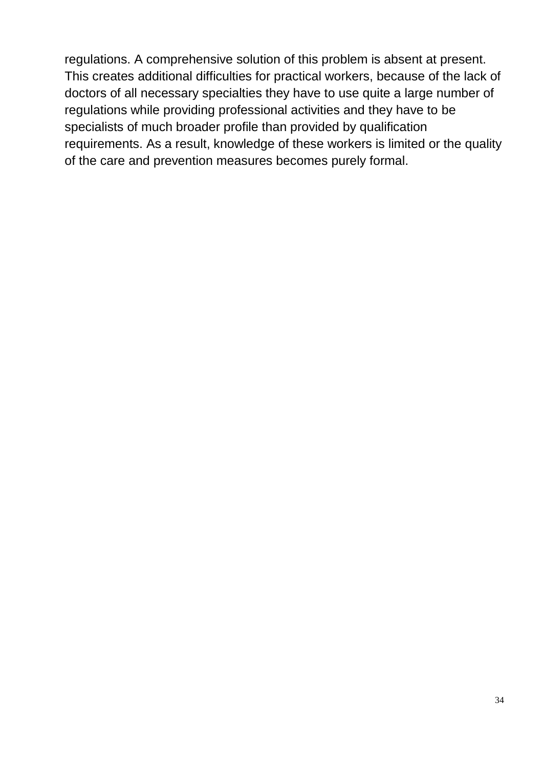regulations. A comprehensive solution of this problem is absent at present. This creates additional difficulties for practical workers, because of the lack of doctors of all necessary specialties they have to use quite a large number of regulations while providing professional activities and they have to be specialists of much broader profile than provided by qualification requirements. As a result, knowledge of these workers is limited or the quality of the care and prevention measures becomes purely formal.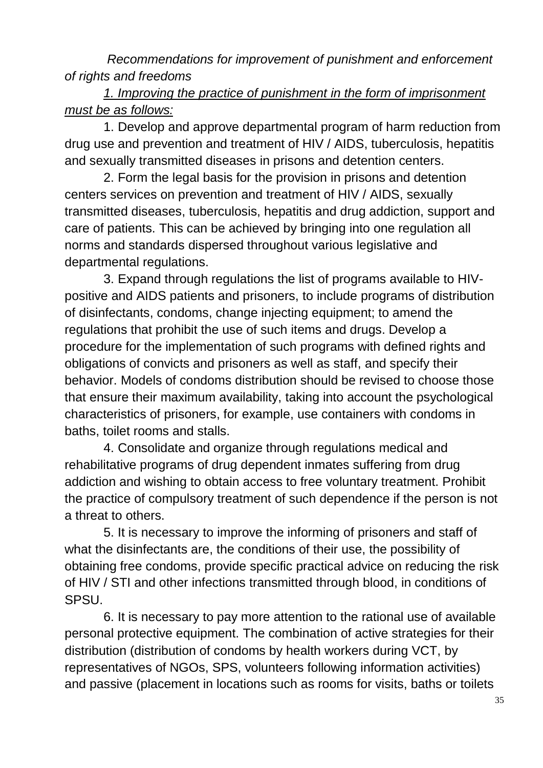*Recommendations for improvement of punishment and enforcement of rights and freedoms*

# *1. Improving the practice of punishment in the form of imprisonment must be as follows:*

1. Develop and approve departmental program of harm reduction from drug use and prevention and treatment of HIV / AIDS, tuberculosis, hepatitis and sexually transmitted diseases in prisons and detention centers.

2. Form the legal basis for the provision in prisons and detention centers services on prevention and treatment of HIV / AIDS, sexually transmitted diseases, tuberculosis, hepatitis and drug addiction, support and care of patients. This can be achieved by bringing into one regulation all norms and standards dispersed throughout various legislative and departmental regulations.

3. Expand through regulations the list of programs available to HIVpositive and AIDS patients and prisoners, to include programs of distribution of disinfectants, condoms, change injecting equipment; to amend the regulations that prohibit the use of such items and drugs. Develop a procedure for the implementation of such programs with defined rights and obligations of convicts and prisoners as well as staff, and specify their behavior. Models of condoms distribution should be revised to choose those that ensure their maximum availability, taking into account the psychological characteristics of prisoners, for example, use containers with condoms in baths, toilet rooms and stalls.

4. Consolidate and organize through regulations medical and rehabilitative programs of drug dependent inmates suffering from drug addiction and wishing to obtain access to free voluntary treatment. Prohibit the practice of compulsory treatment of such dependence if the person is not a threat to others.

5. It is necessary to improve the informing of prisoners and staff of what the disinfectants are, the conditions of their use, the possibility of obtaining free condoms, provide specific practical advice on reducing the risk of HIV / STI and other infections transmitted through blood, in conditions of SPSU.

6. It is necessary to pay more attention to the rational use of available personal protective equipment. The combination of active strategies for their distribution (distribution of condoms by health workers during VCT, by representatives of NGOs, SPS, volunteers following information activities) and passive (placement in locations such as rooms for visits, baths or toilets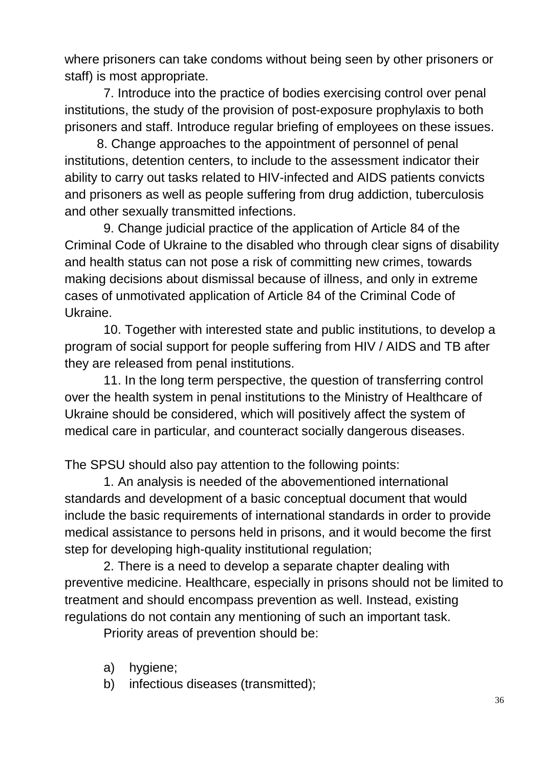where prisoners can take condoms without being seen by other prisoners or staff) is most appropriate.

7. Introduce into the practice of bodies exercising control over penal institutions, the study of the provision of post-exposure prophylaxis to both prisoners and staff. Introduce regular briefing of employees on these issues.

8. Change approaches to the appointment of personnel of penal institutions, detention centers, to include to the assessment indicator their ability to carry out tasks related to HIV-infected and AIDS patients convicts and prisoners as well as people suffering from drug addiction, tuberculosis and other sexually transmitted infections.

9. Change judicial practice of the application of Article 84 of the Criminal Code of Ukraine to the disabled who through clear signs of disability and health status can not pose a risk of committing new crimes, towards making decisions about dismissal because of illness, and only in extreme cases of unmotivated application of Article 84 of the Criminal Code of Ukraine.

10. Together with interested state and public institutions, to develop a program of social support for people suffering from HIV / AIDS and TB after they are released from penal institutions.

11. In the long term perspective, the question of transferring control over the health system in penal institutions to the Ministry of Healthcare of Ukraine should be considered, which will positively affect the system of medical care in particular, and counteract socially dangerous diseases.

The SPSU should also pay attention to the following points:

1. An analysis is needed of the abovementioned international standards and development of a basic conceptual document that would include the basic requirements of international standards in order to provide medical assistance to persons held in prisons, and it would become the first step for developing high-quality institutional regulation;

2. There is a need to develop a separate chapter dealing with preventive medicine. Healthcare, especially in prisons should not be limited to treatment and should encompass prevention as well. Instead, existing regulations do not contain any mentioning of such an important task.

Priority areas of prevention should be:

- a) hygiene;
- b) infectious diseases (transmitted);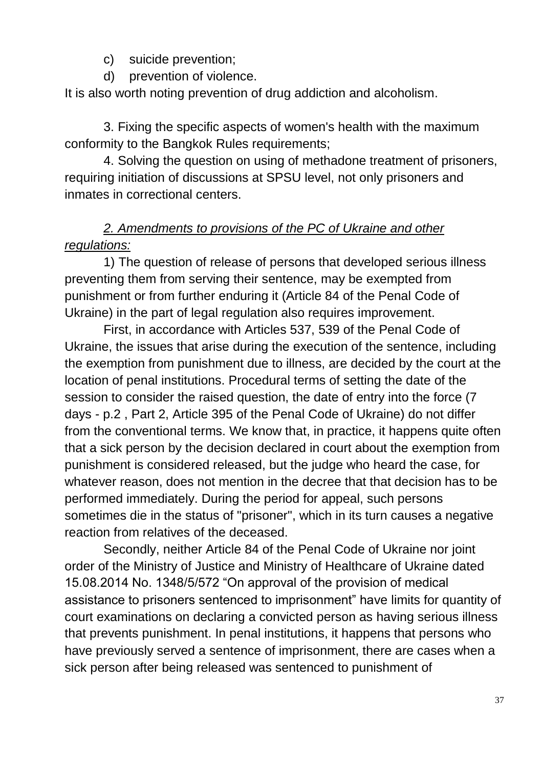- c) suicide prevention;
- d) prevention of violence.

It is also worth noting prevention of drug addiction and alcoholism.

3. Fixing the specific aspects of women's health with the maximum conformity to the Bangkok Rules requirements;

4. Solving the question on using of methadone treatment of prisoners, requiring initiation of discussions at SPSU level, not only prisoners and inmates in correctional centers.

# *2. Amendments to provisions of the PC of Ukraine and other regulations:*

1) The question of release of persons that developed serious illness preventing them from serving their sentence, may be exempted from punishment or from further enduring it (Article 84 of the Penal Code of Ukraine) in the part of legal regulation also requires improvement.

First, in accordance with Articles 537, 539 of the Penal Code of Ukraine, the issues that arise during the execution of the sentence, including the exemption from punishment due to illness, are decided by the court at the location of penal institutions. Procedural terms of setting the date of the session to consider the raised question, the date of entry into the force (7 days - p.2 , Part 2, Article 395 of the Penal Code of Ukraine) do not differ from the conventional terms. We know that, in practice, it happens quite often that a sick person by the decision declared in court about the exemption from punishment is considered released, but the judge who heard the case, for whatever reason, does not mention in the decree that that decision has to be performed immediately. During the period for appeal, such persons sometimes die in the status of "prisoner", which in its turn causes a negative reaction from relatives of the deceased.

Secondly, neither Article 84 of the Penal Code of Ukraine nor joint order of the Ministry of Justice and Ministry of Healthcare of Ukraine dated 15.08.2014 No. 1348/5/572 "On approval of the provision of medical assistance to prisoners sentenced to imprisonment" have limits for quantity of court examinations on declaring a convicted person as having serious illness that prevents punishment. In penal institutions, it happens that persons who have previously served a sentence of imprisonment, there are cases when a sick person after being released was sentenced to punishment of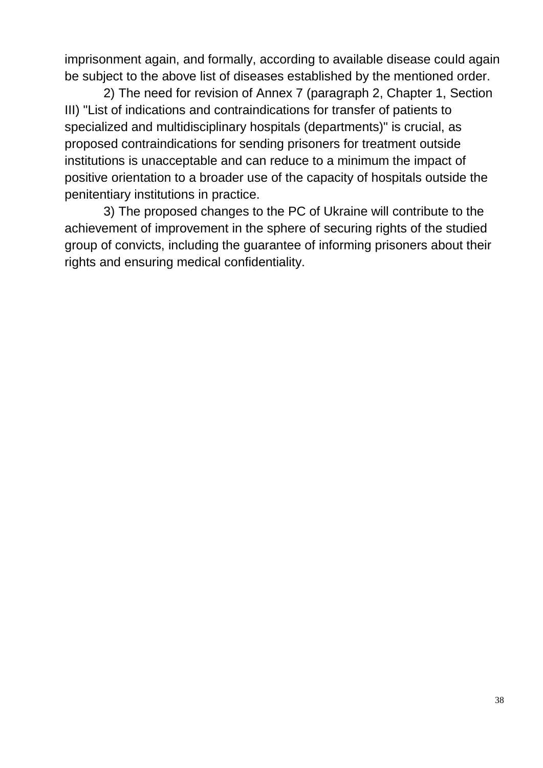imprisonment again, and formally, according to available disease could again be subject to the above list of diseases established by the mentioned order.

2) The need for revision of Annex 7 (paragraph 2, Chapter 1, Section III) "List of indications and contraindications for transfer of patients to specialized and multidisciplinary hospitals (departments)" is crucial, as proposed contraindications for sending prisoners for treatment outside institutions is unacceptable and can reduce to a minimum the impact of positive orientation to a broader use of the capacity of hospitals outside the penitentiary institutions in practice.

3) The proposed changes to the PC of Ukraine will contribute to the achievement of improvement in the sphere of securing rights of the studied group of convicts, including the guarantee of informing prisoners about their rights and ensuring medical confidentiality.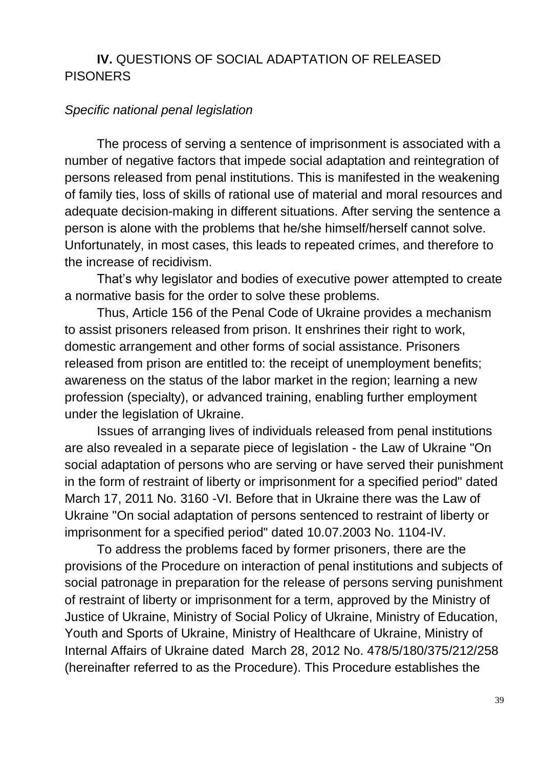## **IV.** QUESTIONS OF SOCIAL ADAPTATION OF RELEASED PISONERS

#### *Specific national penal legislation*

The process of serving a sentence of imprisonment is associated with a number of negative factors that impede social adaptation and reintegration of persons released from penal institutions. This is manifested in the weakening of family ties, loss of skills of rational use of material and moral resources and adequate decision-making in different situations. After serving the sentence a person is alone with the problems that he/she himself/herself cannot solve. Unfortunately, in most cases, this leads to repeated crimes, and therefore to the increase of recidivism.

That's why legislator and bodies of executive power attempted to create a normative basis for the order to solve these problems.

Thus, Article 156 of the Penal Code of Ukraine provides a mechanism to assist prisoners released from prison. It enshrines their right to work, domestic arrangement and other forms of social assistance. Prisoners released from prison are entitled to: the receipt of unemployment benefits; awareness on the status of the labor market in the region; learning a new profession (specialty), or advanced training, enabling further employment under the legislation of Ukraine.

Issues of arranging lives of individuals released from penal institutions are also revealed in a separate piece of legislation - the Law of Ukraine "On social adaptation of persons who are serving or have served their punishment in the form of restraint of liberty or imprisonment for a specified period" dated March 17, 2011 No. 3160 -VI. Before that in Ukraine there was the Law of Ukraine "On social adaptation of persons sentenced to restraint of liberty or imprisonment for a specified period" dated 10.07.2003 No. 1104-IV.

To address the problems faced by former prisoners, there are the provisions of the Procedure on interaction of penal institutions and subjects of social patronage in preparation for the release of persons serving punishment of restraint of liberty or imprisonment for a term, approved by the Ministry of Justice of Ukraine, Ministry of Social Policy of Ukraine, Ministry of Education, Youth and Sports of Ukraine, Ministry of Healthcare of Ukraine, Ministry of Internal Affairs of Ukraine dated March 28, 2012 No. 478/5/180/375/212/258 (hereinafter referred to as the Procedure). This Procedure establishes the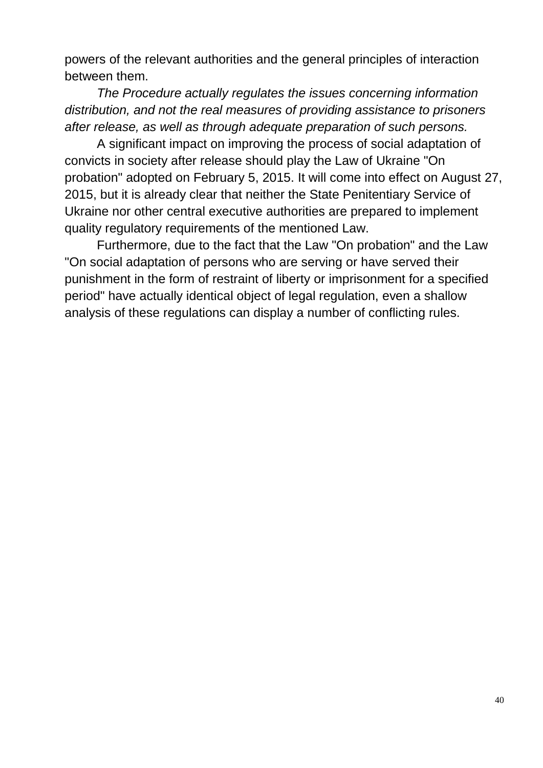powers of the relevant authorities and the general principles of interaction between them.

*The Procedure actually regulates the issues concerning information distribution, and not the real measures of providing assistance to prisoners after release, as well as through adequate preparation of such persons.*

A significant impact on improving the process of social adaptation of convicts in society after release should play the Law of Ukraine "On probation" adopted on February 5, 2015. It will come into effect on August 27, 2015, but it is already clear that neither the State Penitentiary Service of Ukraine nor other central executive authorities are prepared to implement quality regulatory requirements of the mentioned Law.

Furthermore, due to the fact that the Law "On probation" and the Law "On social adaptation of persons who are serving or have served their punishment in the form of restraint of liberty or imprisonment for a specified period" have actually identical object of legal regulation, even a shallow analysis of these regulations can display a number of conflicting rules.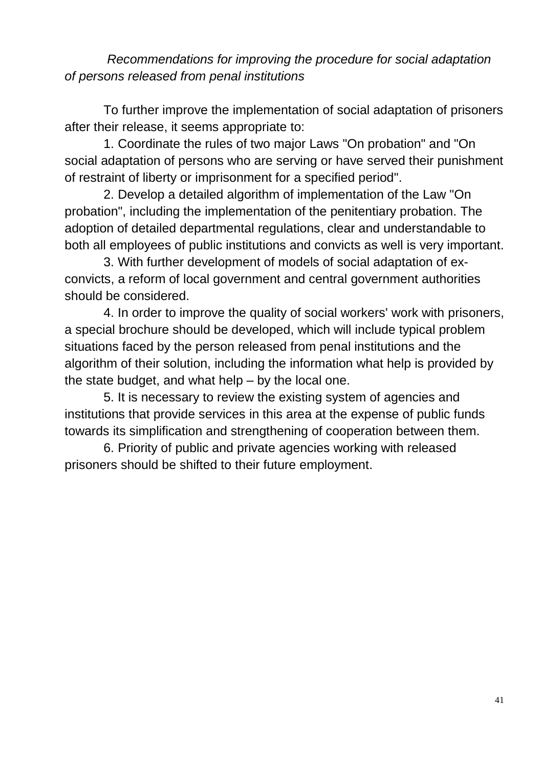*Recommendations for improving the procedure for social adaptation of persons released from penal institutions*

To further improve the implementation of social adaptation of prisoners after their release, it seems appropriate to:

1. Coordinate the rules of two major Laws "On probation" and "On social adaptation of persons who are serving or have served their punishment of restraint of liberty or imprisonment for a specified period".

2. Develop a detailed algorithm of implementation of the Law "On probation", including the implementation of the penitentiary probation. The adoption of detailed departmental regulations, clear and understandable to both all employees of public institutions and convicts as well is very important.

3. With further development of models of social adaptation of exconvicts, a reform of local government and central government authorities should be considered.

4. In order to improve the quality of social workers' work with prisoners, a special brochure should be developed, which will include typical problem situations faced by the person released from penal institutions and the algorithm of their solution, including the information what help is provided by the state budget, and what help – by the local one.

5. It is necessary to review the existing system of agencies and institutions that provide services in this area at the expense of public funds towards its simplification and strengthening of cooperation between them.

6. Priority of public and private agencies working with released prisoners should be shifted to their future employment.